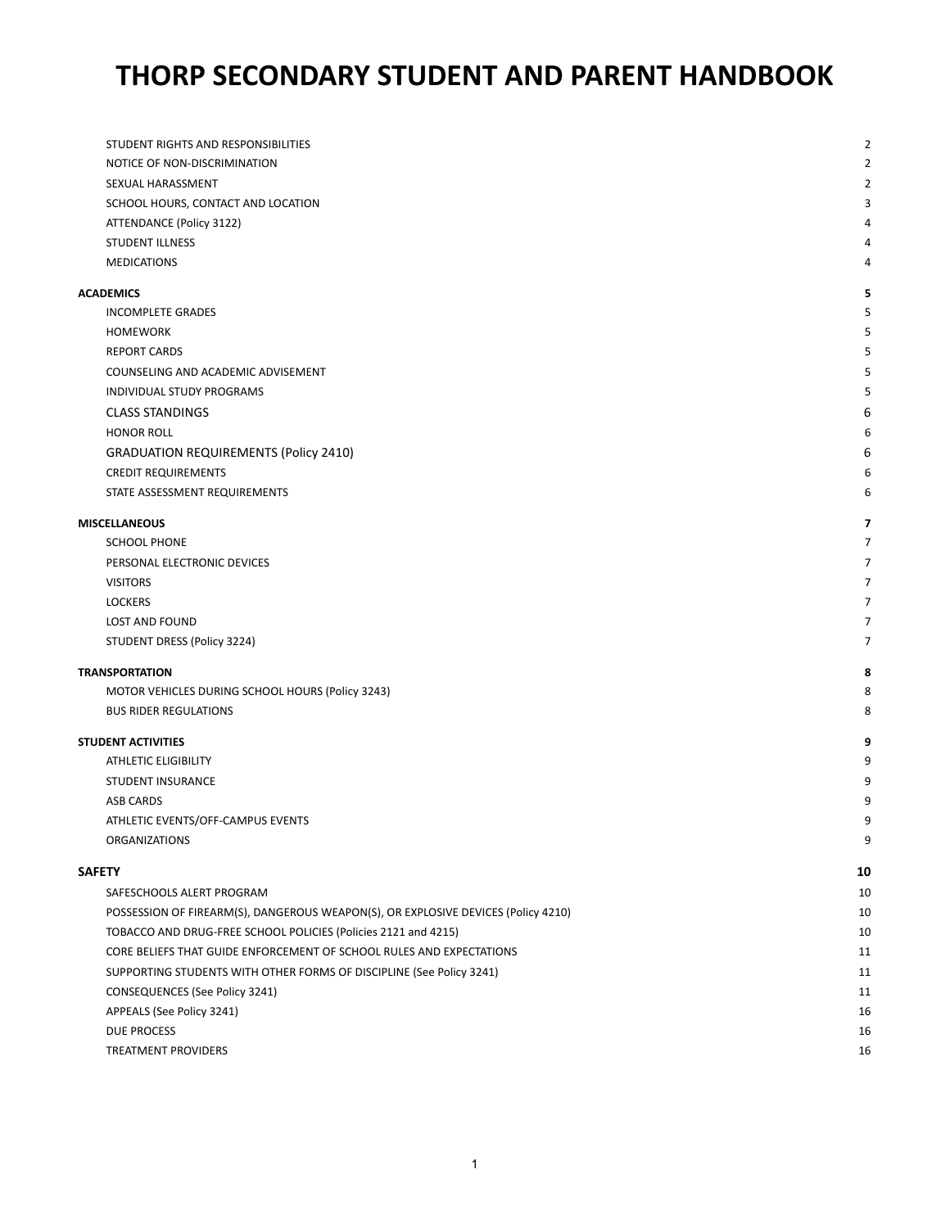# **THORP SECONDARY STUDENT AND PARENT HANDBOOK**

| STUDENT RIGHTS AND RESPONSIBILITIES                                               | $\overline{2}$ |
|-----------------------------------------------------------------------------------|----------------|
| NOTICE OF NON-DISCRIMINATION                                                      | 2              |
| SEXUAL HARASSMENT                                                                 | 2              |
| SCHOOL HOURS, CONTACT AND LOCATION                                                | 3              |
| ATTENDANCE (Policy 3122)                                                          | 4              |
| STUDENT ILLNESS                                                                   | 4              |
| <b>MEDICATIONS</b>                                                                | 4              |
| ACADEMICS                                                                         | 5              |
| <b>INCOMPLETE GRADES</b>                                                          | 5              |
| <b>HOMEWORK</b>                                                                   | 5              |
| <b>REPORT CARDS</b>                                                               | 5              |
| COUNSELING AND ACADEMIC ADVISEMENT                                                | 5              |
| INDIVIDUAL STUDY PROGRAMS                                                         | 5              |
| <b>CLASS STANDINGS</b>                                                            | 6              |
| <b>HONOR ROLL</b>                                                                 | 6              |
| <b>GRADUATION REQUIREMENTS (Policy 2410)</b>                                      | 6              |
| <b>CREDIT REQUIREMENTS</b>                                                        | 6              |
| STATE ASSESSMENT REQUIREMENTS                                                     | 6              |
| <b>MISCELLANEOUS</b>                                                              | 7              |
| <b>SCHOOL PHONE</b>                                                               | 7              |
| PERSONAL ELECTRONIC DEVICES                                                       | 7              |
| <b>VISITORS</b>                                                                   | 7              |
| <b>LOCKERS</b>                                                                    | 7              |
| LOST AND FOUND                                                                    | 7              |
| STUDENT DRESS (Policy 3224)                                                       | 7              |
| <b>TRANSPORTATION</b>                                                             | 8              |
| MOTOR VEHICLES DURING SCHOOL HOURS (Policy 3243)                                  | 8              |
| <b>BUS RIDER REGULATIONS</b>                                                      | 8              |
| <b>STUDENT ACTIVITIES</b>                                                         | 9              |
| <b>ATHLETIC ELIGIBILITY</b>                                                       | 9              |
| <b>STUDENT INSURANCE</b>                                                          | 9              |
| <b>ASB CARDS</b>                                                                  | 9              |
| ATHLETIC EVENTS/OFF-CAMPUS EVENTS                                                 | 9              |
| <b>ORGANIZATIONS</b>                                                              | 9              |
| SAFETY                                                                            | 10             |
| SAFESCHOOLS ALERT PROGRAM                                                         | 10             |
| POSSESSION OF FIREARM(S), DANGEROUS WEAPON(S), OR EXPLOSIVE DEVICES (Policy 4210) | 10             |
| TOBACCO AND DRUG-FREE SCHOOL POLICIES (Policies 2121 and 4215)                    | 10             |
| CORE BELIEFS THAT GUIDE ENFORCEMENT OF SCHOOL RULES AND EXPECTATIONS              | 11             |
| SUPPORTING STUDENTS WITH OTHER FORMS OF DISCIPLINE (See Policy 3241)              | 11             |
| CONSEQUENCES (See Policy 3241)                                                    | 11             |
| APPEALS (See Policy 3241)                                                         | 16             |
| <b>DUE PROCESS</b>                                                                | 16             |
| TREATMENT PROVIDERS                                                               | 16             |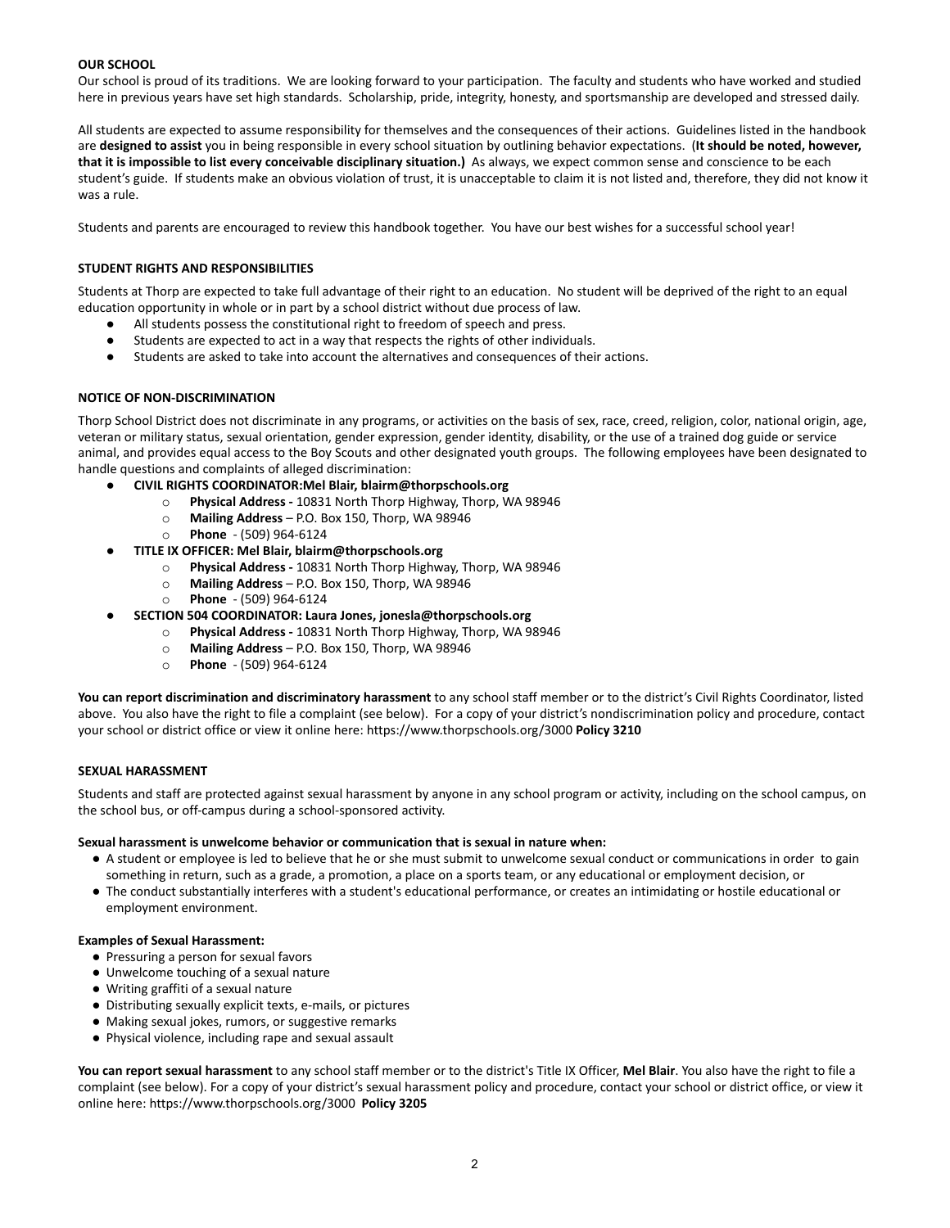## **OUR SCHOOL**

Our school is proud of its traditions. We are looking forward to your participation. The faculty and students who have worked and studied here in previous years have set high standards. Scholarship, pride, integrity, honesty, and sportsmanship are developed and stressed daily.

All students are expected to assume responsibility for themselves and the consequences of their actions. Guidelines listed in the handbook are **designed to assist** you in being responsible in every school situation by outlining behavior expectations. (**It should be noted, however, that it is impossible to list every conceivable disciplinary situation.)** As always, we expect common sense and conscience to be each student's guide. If students make an obvious violation of trust, it is unacceptable to claim it is not listed and, therefore, they did not know it was a rule.

<span id="page-1-0"></span>Students and parents are encouraged to review this handbook together. You have our best wishes for a successful school year!

## **STUDENT RIGHTS AND RESPONSIBILITIES**

Students at Thorp are expected to take full advantage of their right to an education. No student will be deprived of the right to an equal education opportunity in whole or in part by a school district without due process of law.

- All students possess the constitutional right to freedom of speech and press.
- Students are expected to act in a way that respects the rights of other individuals.
- Students are asked to take into account the alternatives and consequences of their actions.

## <span id="page-1-1"></span>**NOTICE OF NON-DISCRIMINATION**

Thorp School District does not discriminate in any programs, or activities on the basis of sex, race, creed, religion, color, national origin, age, veteran or military status, sexual orientation, gender expression, gender identity, disability, or the use of a trained dog guide or service animal, and provides equal access to the Boy Scouts and other designated youth groups. The following employees have been designated to handle questions and complaints of alleged discrimination:

- **CIVIL RIGHTS COORDINATOR:Mel Blair, blairm@thorpschools.org**
	- o **Physical Address -** 10831 North Thorp Highway, Thorp, WA 98946
		- o **Mailing Address** P.O. Box 150, Thorp, WA 98946
		- o **Phone** (509) 964-6124
- **TITLE IX OFFICER: Mel Blair, blairm@thorpschools.org**
	- o **Physical Address -** 10831 North Thorp Highway, Thorp, WA 98946
	- o **Mailing Address** P.O. Box 150, Thorp, WA 98946
	- o **Phone** (509) 964-6124
- **SECTION 504 COORDINATOR: Laura Jones, jonesla@thorpschools.org**
	- o **Physical Address -** 10831 North Thorp Highway, Thorp, WA 98946
	- o **Mailing Address** P.O. Box 150, Thorp, WA 98946
	- o **Phone** (509) 964-6124

**You can report discrimination and discriminatory harassment** to any school staff member or to the district's Civil Rights Coordinator, listed above. You also have the right to file a complaint (see below). For a copy of your district's nondiscrimination policy and procedure, contact your school or district office or view it online here: https://www.thorpschools.org/3000 **Policy 3210**

## <span id="page-1-2"></span>**SEXUAL HARASSMENT**

Students and staff are protected against sexual harassment by anyone in any school program or activity, including on the school campus, on the school bus, or off-campus during a school-sponsored activity.

## **Sexual harassment is unwelcome behavior or communication that is sexual in nature when:**

- A student or employee is led to believe that he or she must submit to unwelcome sexual conduct or communications in order to gain something in return, such as a grade, a promotion, a place on a sports team, or any educational or employment decision, or
- The conduct substantially interferes with a student's educational performance, or creates an intimidating or hostile educational or employment environment.

## **Examples of Sexual Harassment:**

- Pressuring a person for sexual favors
- Unwelcome touching of a sexual nature
- Writing graffiti of a sexual nature
- Distributing sexually explicit texts, e-mails, or pictures
- Making sexual jokes, rumors, or suggestive remarks
- Physical violence, including rape and sexual assault

**You can report sexual harassment** to any school staff member or to the district's Title IX Officer, **Mel Blair**. You also have the right to file a complaint (see below). For a copy of your district's sexual harassment policy and procedure, contact your school or district office, or view it online here: https://www.thorpschools.org/3000 **Policy 3205**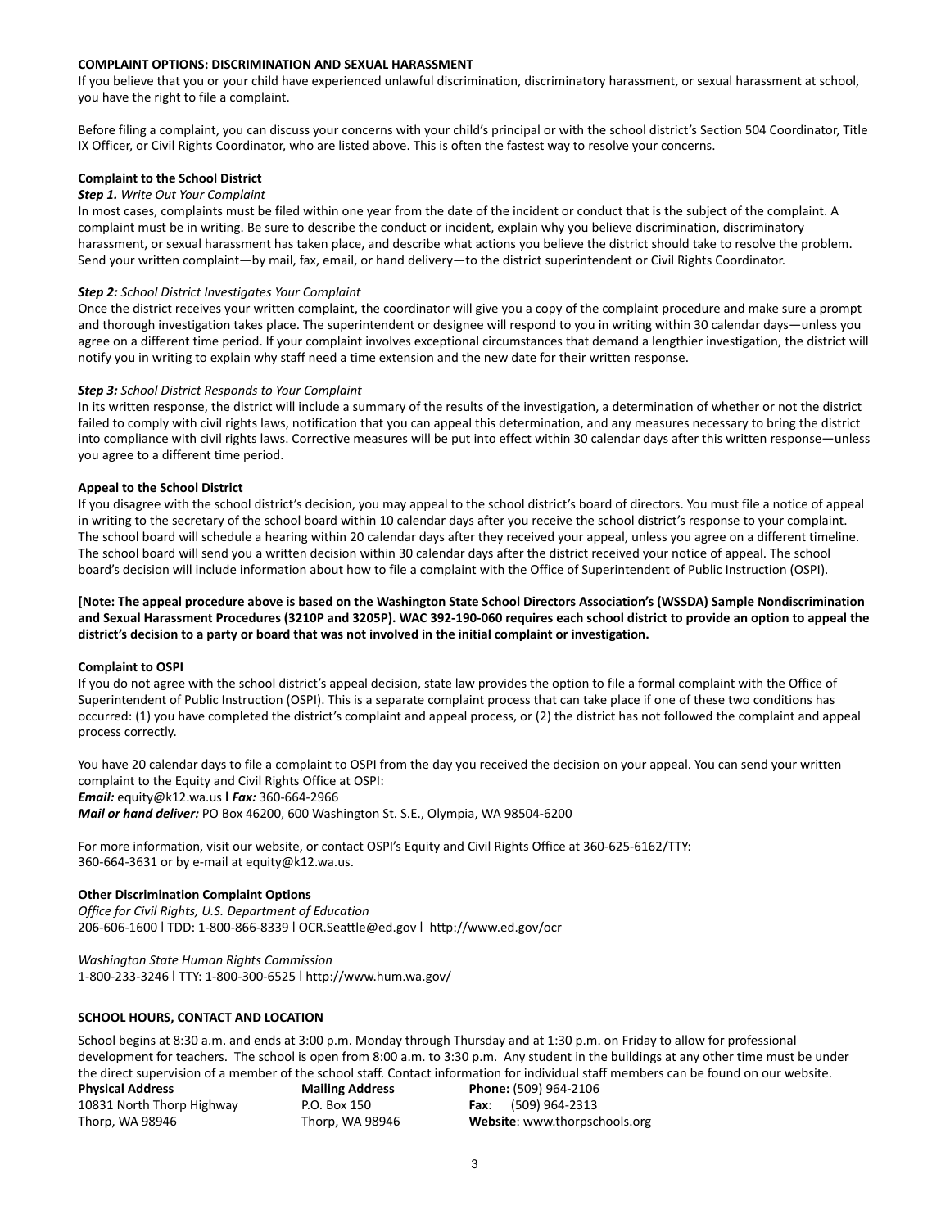## **COMPLAINT OPTIONS: DISCRIMINATION AND SEXUAL HARASSMENT**

If you believe that you or your child have experienced unlawful discrimination, discriminatory harassment, or sexual harassment at school, you have the right to file a complaint.

Before filing a complaint, you can discuss your concerns with your child's principal or with the school district's Section 504 Coordinator, Title IX Officer, or Civil Rights Coordinator, who are listed above. This is often the fastest way to resolve your concerns.

## **Complaint to the School District**

## *Step 1. Write Out Your Complaint*

In most cases, complaints must be filed within one year from the date of the incident or conduct that is the subject of the complaint. A complaint must be in writing. Be sure to describe the conduct or incident, explain why you believe discrimination, discriminatory harassment, or sexual harassment has taken place, and describe what actions you believe the district should take to resolve the problem. Send your written complaint—by mail, fax, email, or hand delivery—to the district superintendent or Civil Rights Coordinator.

#### *Step 2: School District Investigates Your Complaint*

Once the district receives your written complaint, the coordinator will give you a copy of the complaint procedure and make sure a prompt and thorough investigation takes place. The superintendent or designee will respond to you in writing within 30 calendar days—unless you agree on a different time period. If your complaint involves exceptional circumstances that demand a lengthier investigation, the district will notify you in writing to explain why staff need a time extension and the new date for their written response.

#### *Step 3: School District Responds to Your Complaint*

In its written response, the district will include a summary of the results of the investigation, a determination of whether or not the district failed to comply with civil rights laws, notification that you can appeal this determination, and any measures necessary to bring the district into compliance with civil rights laws. Corrective measures will be put into effect within 30 calendar days after this written response—unless you agree to a different time period.

#### **Appeal to the School District**

If you disagree with the school district's decision, you may appeal to the school district's board of directors. You must file a notice of appeal in writing to the secretary of the school board within 10 calendar days after you receive the school district's response to your complaint. The school board will schedule a hearing within 20 calendar days after they received your appeal, unless you agree on a different timeline. The school board will send you a written decision within 30 calendar days after the district received your notice of appeal. The school board's decision will include information about how to file a complaint with the Office of Superintendent of Public Instruction (OSPI).

**[Note: The appeal procedure above is based on the Washington State School Directors Association's (WSSDA) Sample Nondiscrimination and Sexual Harassment Procedures (3210P and 3205P). WAC 392-190-060 requires each school district to provide an option to appeal the district's decision to a party or board that was not involved in the initial complaint or investigation.**

#### **Complaint to OSPI**

If you do not agree with the school district's appeal decision, state law provides the option to file a formal complaint with the Office of Superintendent of Public Instruction (OSPI). This is a separate complaint process that can take place if one of these two conditions has occurred: (1) you have completed the district's complaint and appeal process, or (2) the district has not followed the complaint and appeal process correctly.

You have 20 calendar days to file a complaint to OSPI from the day you received the decision on your appeal. You can send your written complaint to the Equity and Civil Rights Office at OSPI:

*Email:* equity@k12.wa.us **ǀ** *Fax:* 360-664-2966

*Mail or hand deliver:* PO Box 46200, 600 Washington St. S.E., Olympia, WA 98504-6200

For more information, visit our website, or contact OSPI's Equity and Civil Rights Office at 360-625-6162/TTY: 360-664-3631 or by e-mail at equity@k12.wa.us.

#### **Other Discrimination Complaint Options**

*Office for Civil Rights, U.S. Department of Education* 206-606-1600 ǀ TDD: 1-800-866-8339 ǀ OCR.Seattle@ed.gov ǀ http://www.ed.gov/ocr

*Washington State Human Rights Commission* 1-800-233-3246 ǀ TTY: 1-800-300-6525 ǀ <http://www.hum.wa.gov/>

## <span id="page-2-0"></span>**SCHOOL HOURS, CONTACT AND LOCATION**

School begins at 8:30 a.m. and ends at 3:00 p.m. Monday through Thursday and at 1:30 p.m. on Friday to allow for professional development for teachers. The school is open from 8:00 a.m. to 3:30 p.m. Any student in the buildings at any other time must be under the direct supervision of a member of the school staff. Contact information for individual staff members can be found on our website.

| <b>Physical Address</b>   | <b>Mailing Address</b> | Phone: (509) 964-2106                |
|---------------------------|------------------------|--------------------------------------|
| 10831 North Thorp Highway | P.O. Box 150           | (509) 964-2313<br>Fax:               |
| Thorp, WA 98946           | Thorp, WA 98946        | <b>Website:</b> www.thorpschools.org |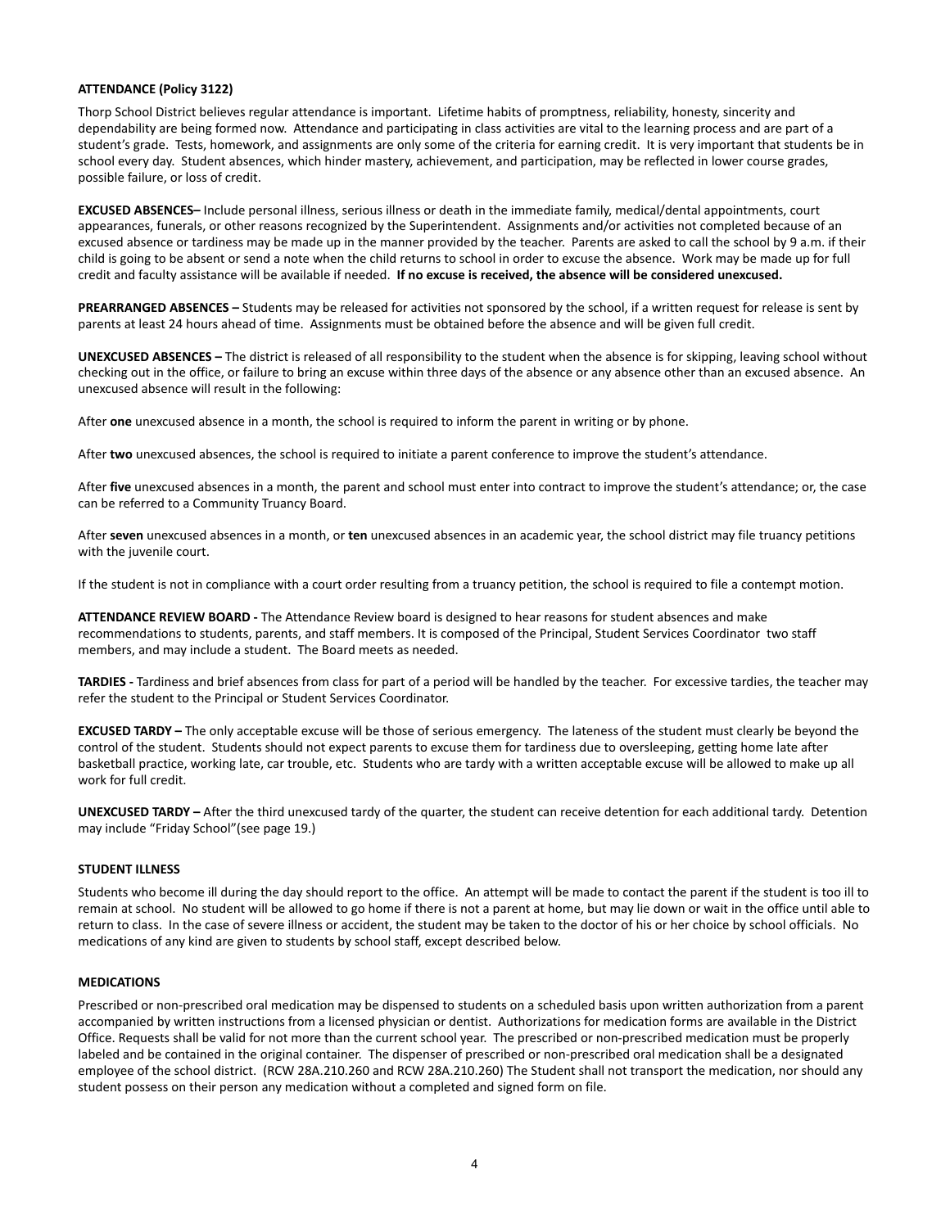#### <span id="page-3-0"></span>**ATTENDANCE (Policy 3122)**

Thorp School District believes regular attendance is important. Lifetime habits of promptness, reliability, honesty, sincerity and dependability are being formed now. Attendance and participating in class activities are vital to the learning process and are part of a student's grade. Tests, homework, and assignments are only some of the criteria for earning credit. It is very important that students be in school every day. Student absences, which hinder mastery, achievement, and participation, may be reflected in lower course grades, possible failure, or loss of credit.

**EXCUSED ABSENCES–** Include personal illness, serious illness or death in the immediate family, medical/dental appointments, court appearances, funerals, or other reasons recognized by the Superintendent. Assignments and/or activities not completed because of an excused absence or tardiness may be made up in the manner provided by the teacher. Parents are asked to call the school by 9 a.m. if their child is going to be absent or send a note when the child returns to school in order to excuse the absence. Work may be made up for full credit and faculty assistance will be available if needed. **If no excuse is received, the absence will be considered unexcused.**

**PREARRANGED ABSENCES –** Students may be released for activities not sponsored by the school, if a written request for release is sent by parents at least 24 hours ahead of time. Assignments must be obtained before the absence and will be given full credit.

**UNEXCUSED ABSENCES –** The district is released of all responsibility to the student when the absence is for skipping, leaving school without checking out in the office, or failure to bring an excuse within three days of the absence or any absence other than an excused absence. An unexcused absence will result in the following:

After **one** unexcused absence in a month, the school is required to inform the parent in writing or by phone.

After **two** unexcused absences, the school is required to initiate a parent conference to improve the student's attendance.

After **five** unexcused absences in a month, the parent and school must enter into contract to improve the student's attendance; or, the case can be referred to a Community Truancy Board.

After **seven** unexcused absences in a month, or **ten** unexcused absences in an academic year, the school district may file truancy petitions with the juvenile court.

If the student is not in compliance with a court order resulting from a truancy petition, the school is required to file a contempt motion.

**ATTENDANCE REVIEW BOARD -** The Attendance Review board is designed to hear reasons for student absences and make recommendations to students, parents, and staff members. It is composed of the Principal, Student Services Coordinator two staff members, and may include a student. The Board meets as needed.

**TARDIES -** Tardiness and brief absences from class for part of a period will be handled by the teacher. For excessive tardies, the teacher may refer the student to the Principal or Student Services Coordinator.

**EXCUSED TARDY –** The only acceptable excuse will be those of serious emergency. The lateness of the student must clearly be beyond the control of the student. Students should not expect parents to excuse them for tardiness due to oversleeping, getting home late after basketball practice, working late, car trouble, etc. Students who are tardy with a written acceptable excuse will be allowed to make up all work for full credit.

**UNEXCUSED TARDY –** After the third unexcused tardy of the quarter, the student can receive detention for each additional tardy. Detention may include "Friday School"(see page 19.)

# <span id="page-3-1"></span>**STUDENT ILLNESS**

Students who become ill during the day should report to the office. An attempt will be made to contact the parent if the student is too ill to remain at school. No student will be allowed to go home if there is not a parent at home, but may lie down or wait in the office until able to return to class. In the case of severe illness or accident, the student may be taken to the doctor of his or her choice by school officials. No medications of any kind are given to students by school staff, except described below.

## <span id="page-3-2"></span>**MEDICATIONS**

Prescribed or non-prescribed oral medication may be dispensed to students on a scheduled basis upon written authorization from a parent accompanied by written instructions from a licensed physician or dentist. Authorizations for medication forms are available in the District Office. Requests shall be valid for not more than the current school year. The prescribed or non-prescribed medication must be properly labeled and be contained in the original container. The dispenser of prescribed or non-prescribed oral medication shall be a designated employee of the school district. (RCW 28A.210.260 and RCW 28A.210.260) The Student shall not transport the medication, nor should any student possess on their person any medication without a completed and signed form on file.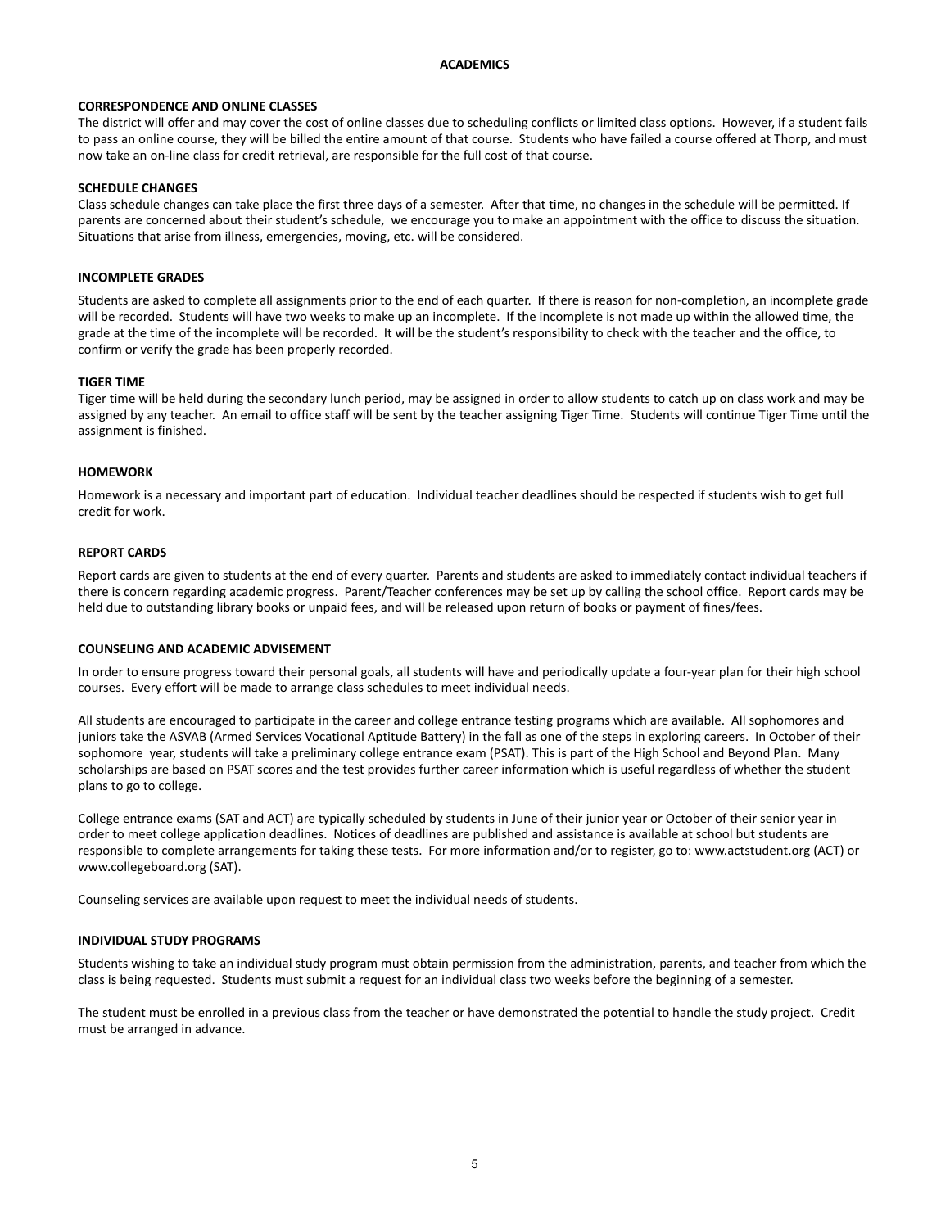## **ACADEMICS**

## <span id="page-4-0"></span>**CORRESPONDENCE AND ONLINE CLASSES**

The district will offer and may cover the cost of online classes due to scheduling conflicts or limited class options. However, if a student fails to pass an online course, they will be billed the entire amount of that course. Students who have failed a course offered at Thorp, and must now take an on-line class for credit retrieval, are responsible for the full cost of that course.

## **SCHEDULE CHANGES**

Class schedule changes can take place the first three days of a semester. After that time, no changes in the schedule will be permitted. If parents are concerned about their student's schedule, we encourage you to make an appointment with the office to discuss the situation. Situations that arise from illness, emergencies, moving, etc. will be considered.

## <span id="page-4-1"></span>**INCOMPLETE GRADES**

Students are asked to complete all assignments prior to the end of each quarter. If there is reason for non-completion, an incomplete grade will be recorded. Students will have two weeks to make up an incomplete. If the incomplete is not made up within the allowed time, the grade at the time of the incomplete will be recorded. It will be the student's responsibility to check with the teacher and the office, to confirm or verify the grade has been properly recorded.

## **TIGER TIME**

Tiger time will be held during the secondary lunch period, may be assigned in order to allow students to catch up on class work and may be assigned by any teacher. An email to office staff will be sent by the teacher assigning Tiger Time. Students will continue Tiger Time until the assignment is finished.

## <span id="page-4-2"></span>**HOMEWORK**

Homework is a necessary and important part of education. Individual teacher deadlines should be respected if students wish to get full credit for work.

## <span id="page-4-3"></span>**REPORT CARDS**

Report cards are given to students at the end of every quarter. Parents and students are asked to immediately contact individual teachers if there is concern regarding academic progress. Parent/Teacher conferences may be set up by calling the school office. Report cards may be held due to outstanding library books or unpaid fees, and will be released upon return of books or payment of fines/fees.

## <span id="page-4-4"></span>**COUNSELING AND ACADEMIC ADVISEMENT**

In order to ensure progress toward their personal goals, all students will have and periodically update a four-year plan for their high school courses. Every effort will be made to arrange class schedules to meet individual needs.

All students are encouraged to participate in the career and college entrance testing programs which are available. All sophomores and juniors take the ASVAB (Armed Services Vocational Aptitude Battery) in the fall as one of the steps in exploring careers. In October of their sophomore year, students will take a preliminary college entrance exam (PSAT). This is part of the High School and Beyond Plan. Many scholarships are based on PSAT scores and the test provides further career information which is useful regardless of whether the student plans to go to college.

College entrance exams (SAT and ACT) are typically scheduled by students in June of their junior year or October of their senior year in order to meet college application deadlines. Notices of deadlines are published and assistance is available at school but students are responsible to complete arrangements for taking these tests. For more information and/or to register, go to: www.actstudent.org (ACT) or www.collegeboard.org (SAT).

<span id="page-4-5"></span>Counseling services are available upon request to meet the individual needs of students.

## **INDIVIDUAL STUDY PROGRAMS**

Students wishing to take an individual study program must obtain permission from the administration, parents, and teacher from which the class is being requested. Students must submit a request for an individual class two weeks before the beginning of a semester.

The student must be enrolled in a previous class from the teacher or have demonstrated the potential to handle the study project. Credit must be arranged in advance.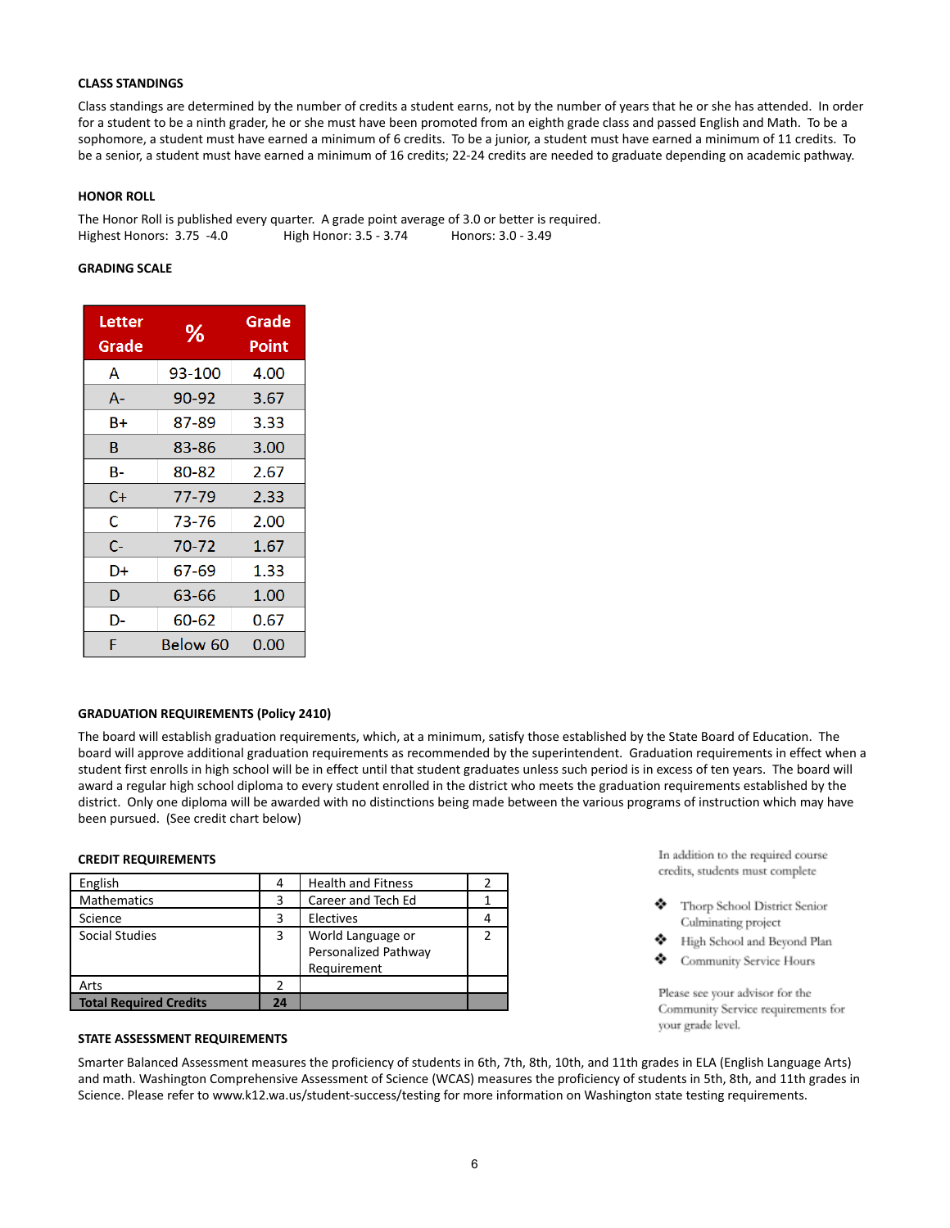## <span id="page-5-0"></span>**CLASS STANDINGS**

Class standings are determined by the number of credits a student earns, not by the number of years that he or she has attended. In order for a student to be a ninth grader, he or she must have been promoted from an eighth grade class and passed English and Math. To be a sophomore, a student must have earned a minimum of 6 credits. To be a junior, a student must have earned a minimum of 11 credits. To be a senior, a student must have earned a minimum of 16 credits; 22-24 credits are needed to graduate depending on academic pathway.

## <span id="page-5-1"></span>**HONOR ROLL**

The Honor Roll is published every quarter. A grade point average of 3.0 or better is required. Highest Honors: 3.75 -4.0 High Honor: 3.5 - 3.74 Honors: 3.0 - 3.49

## **GRADING SCALE**

| Letter<br>Grade | ℅        | Grade<br>Point |  |
|-----------------|----------|----------------|--|
| Α               | 93-100   | 4.00           |  |
| A-              | 90-92    | 3.67           |  |
| Β+              | 87-89    | 3.33           |  |
| в               | 83-86    | 3.00           |  |
| в-              | 80-82    | 2.67           |  |
| C+              | 77-79    | 2.33           |  |
| C               | 73-76    | 2.00           |  |
| $C-$            | 70-72    | 1.67           |  |
| D+              | 67-69    | 1.33           |  |
| D               | 63-66    | 1.00           |  |
| D-              | 60-62    | 0.67           |  |
| F               | Below 60 | 0.00           |  |

## <span id="page-5-2"></span>**GRADUATION REQUIREMENTS (Policy 2410)**

The board will establish graduation requirements, which, at a minimum, satisfy those established by the State Board of Education. The board will approve additional graduation requirements as recommended by the superintendent. Graduation requirements in effect when a student first enrolls in high school will be in effect until that student graduates unless such period is in excess of ten years. The board will award a regular high school diploma to every student enrolled in the district who meets the graduation requirements established by the district. Only one diploma will be awarded with no distinctions being made between the various programs of instruction which may have been pursued. (See credit chart below)

## <span id="page-5-3"></span>**CREDIT REQUIREMENTS**

| English                       | 4  | <b>Health and Fitness</b>                                |  |
|-------------------------------|----|----------------------------------------------------------|--|
| <b>Mathematics</b>            | 3  | Career and Tech Ed                                       |  |
| Science                       | 3  | Electives                                                |  |
| <b>Social Studies</b>         | 3  | World Language or<br>Personalized Pathway<br>Requirement |  |
| Arts                          |    |                                                          |  |
| <b>Total Required Credits</b> | 24 |                                                          |  |

In addition to the required course credits, students must complete

- Thorp School District Senior Culminating project
- High School and Beyond Plan
- ٠ Community Service Hours

Please see your advisor for the Community Service requirements for your grade level.

## <span id="page-5-4"></span>**STATE ASSESSMENT REQUIREMENTS**

Smarter Balanced Assessment measures the proficiency of students in 6th, 7th, 8th, 10th, and 11th grades in ELA (English Language Arts) and math. Washington Comprehensive Assessment of Science (WCAS) measures the proficiency of students in 5th, 8th, and 11th grades in Science. Please refer to www.k12.wa.us/student-success/testing for more information on Washington state testing requirements.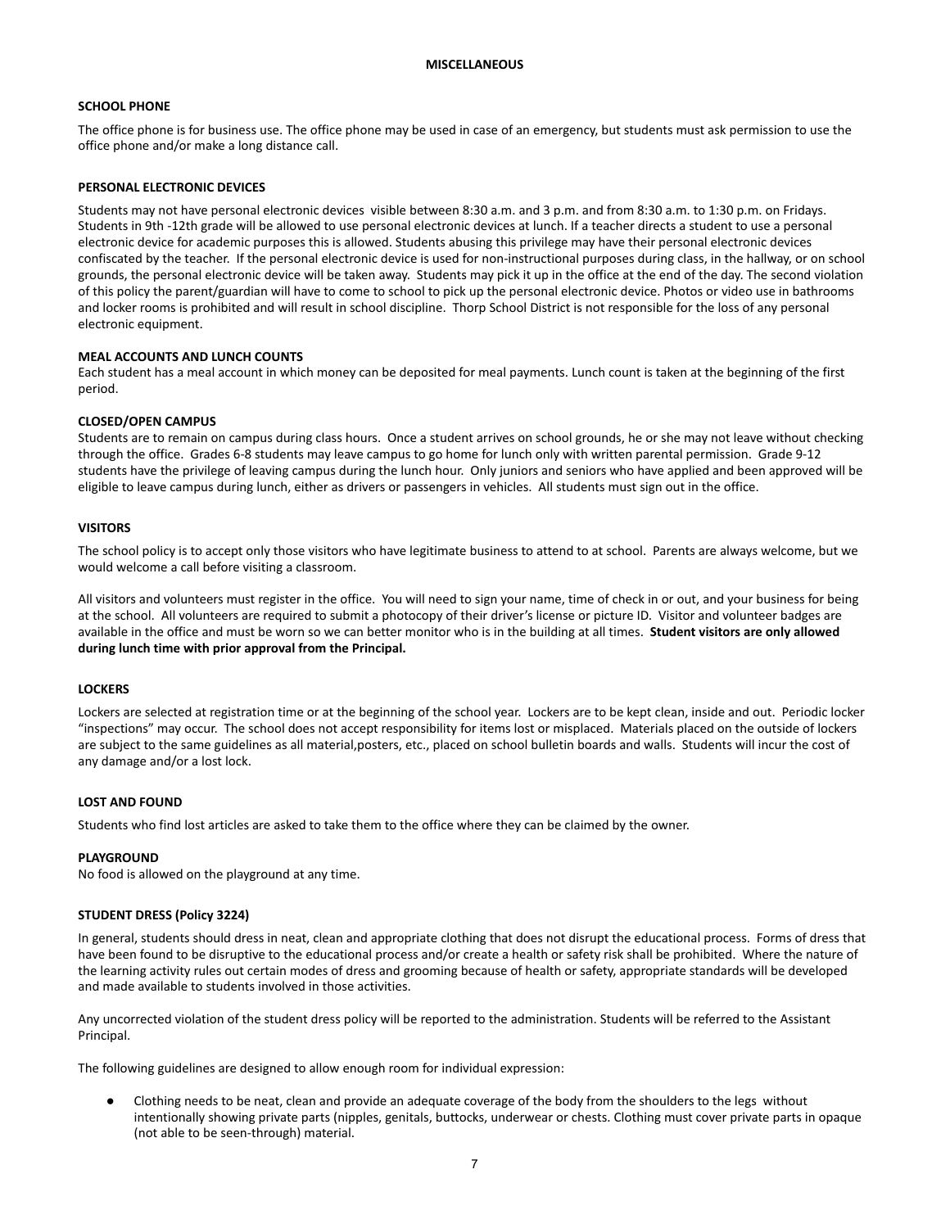## <span id="page-6-1"></span><span id="page-6-0"></span>**SCHOOL PHONE**

The office phone is for business use. The office phone may be used in case of an emergency, but students must ask permission to use the office phone and/or make a long distance call.

#### <span id="page-6-2"></span>**PERSONAL ELECTRONIC DEVICES**

Students may not have personal electronic devices visible between 8:30 a.m. and 3 p.m. and from 8:30 a.m. to 1:30 p.m. on Fridays. Students in 9th -12th grade will be allowed to use personal electronic devices at lunch. If a teacher directs a student to use a personal electronic device for academic purposes this is allowed. Students abusing this privilege may have their personal electronic devices confiscated by the teacher. If the personal electronic device is used for non-instructional purposes during class, in the hallway, or on school grounds, the personal electronic device will be taken away. Students may pick it up in the office at the end of the day. The second violation of this policy the parent/guardian will have to come to school to pick up the personal electronic device. Photos or video use in bathrooms and locker rooms is prohibited and will result in school discipline. Thorp School District is not responsible for the loss of any personal electronic equipment.

#### **MEAL ACCOUNTS AND LUNCH COUNTS**

Each student has a meal account in which money can be deposited for meal payments. Lunch count is taken at the beginning of the first period.

#### **CLOSED/OPEN CAMPUS**

Students are to remain on campus during class hours. Once a student arrives on school grounds, he or she may not leave without checking through the office. Grades 6-8 students may leave campus to go home for lunch only with written parental permission. Grade 9-12 students have the privilege of leaving campus during the lunch hour. Only juniors and seniors who have applied and been approved will be eligible to leave campus during lunch, either as drivers or passengers in vehicles. All students must sign out in the office.

#### <span id="page-6-3"></span>**VISITORS**

The school policy is to accept only those visitors who have legitimate business to attend to at school. Parents are always welcome, but we would welcome a call before visiting a classroom.

All visitors and volunteers must register in the office. You will need to sign your name, time of check in or out, and your business for being at the school. All volunteers are required to submit a photocopy of their driver's license or picture ID. Visitor and volunteer badges are available in the office and must be worn so we can better monitor who is in the building at all times. **Student visitors are only allowed during lunch time with prior approval from the Principal.**

## <span id="page-6-4"></span>**LOCKERS**

Lockers are selected at registration time or at the beginning of the school year. Lockers are to be kept clean, inside and out. Periodic locker "inspections" may occur. The school does not accept responsibility for items lost or misplaced. Materials placed on the outside of lockers are subject to the same guidelines as all material,posters, etc., placed on school bulletin boards and walls. Students will incur the cost of any damage and/or a lost lock.

#### <span id="page-6-5"></span>**LOST AND FOUND**

Students who find lost articles are asked to take them to the office where they can be claimed by the owner.

#### **PLAYGROUND**

<span id="page-6-6"></span>No food is allowed on the playground at any time.

## **STUDENT DRESS (Policy 3224)**

In general, students should dress in neat, clean and appropriate clothing that does not disrupt the educational process. Forms of dress that have been found to be disruptive to the educational process and/or create a health or safety risk shall be prohibited. Where the nature of the learning activity rules out certain modes of dress and grooming because of health or safety, appropriate standards will be developed and made available to students involved in those activities.

Any uncorrected violation of the student dress policy will be reported to the administration. Students will be referred to the Assistant Principal.

The following guidelines are designed to allow enough room for individual expression:

Clothing needs to be neat, clean and provide an adequate coverage of the body from the shoulders to the legs without intentionally showing private parts (nipples, genitals, buttocks, underwear or chests. Clothing must cover private parts in opaque (not able to be seen-through) material.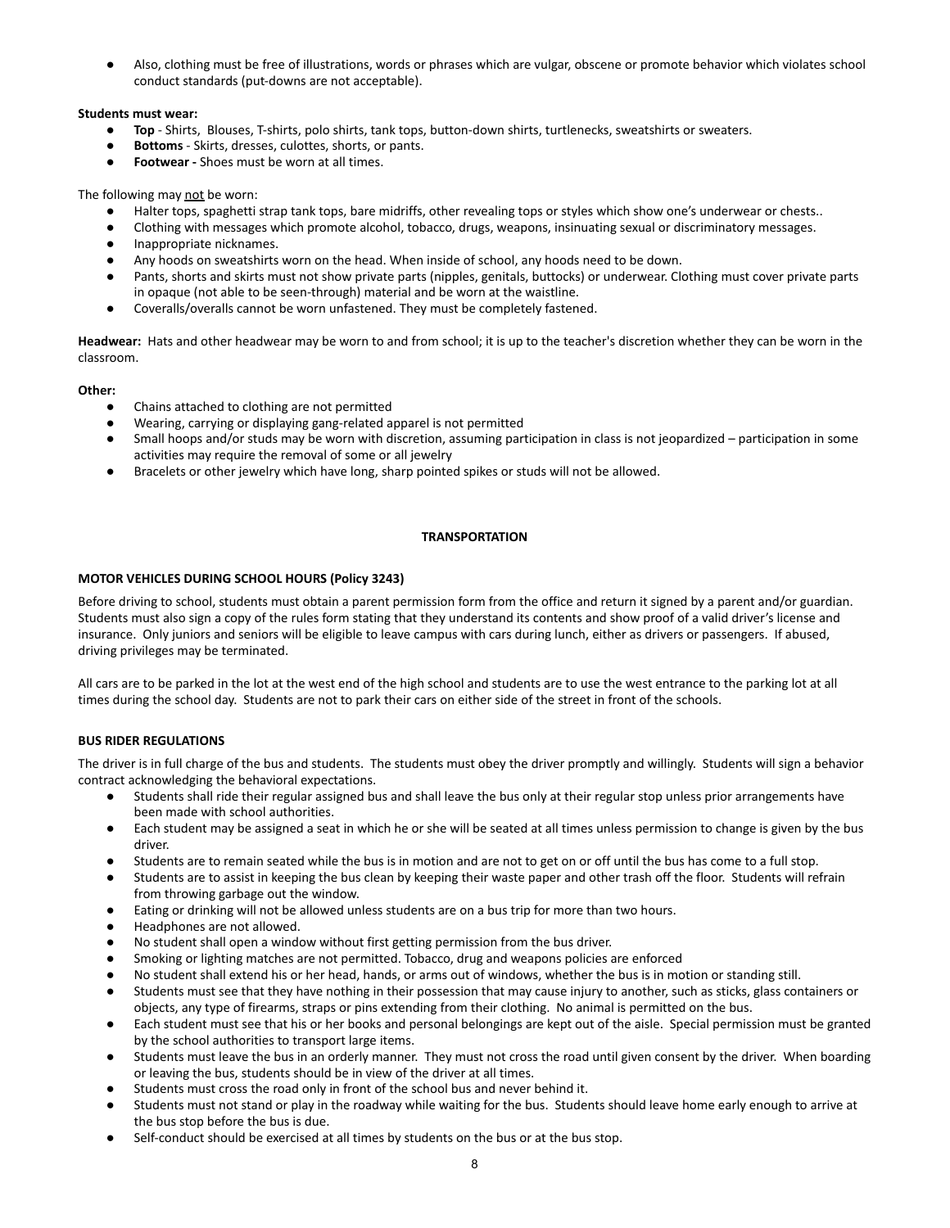Also, clothing must be free of illustrations, words or phrases which are vulgar, obscene or promote behavior which violates school conduct standards (put-downs are not acceptable).

## **Students must wear:**

- **Top** Shirts, Blouses, T-shirts, polo shirts, tank tops, button-down shirts, turtlenecks, sweatshirts or sweaters.
- **Bottoms** Skirts, dresses, culottes, shorts, or pants.
- **● Footwear -** Shoes must be worn at all times.

The following may not be worn:

- Halter tops, spaghetti strap tank tops, bare midriffs, other revealing tops or styles which show one's underwear or chests..
- Clothing with messages which promote alcohol, tobacco, drugs, weapons, insinuating sexual or discriminatory messages.
- Inappropriate nicknames.
- Any hoods on sweatshirts worn on the head. When inside of school, any hoods need to be down.
- Pants, shorts and skirts must not show private parts (nipples, genitals, buttocks) or underwear. Clothing must cover private parts in opaque (not able to be seen-through) material and be worn at the waistline.
- Coveralls/overalls cannot be worn unfastened. They must be completely fastened.

**Headwear:** Hats and other headwear may be worn to and from school; it is up to the teacher's discretion whether they can be worn in the classroom.

## **Other:**

- Chains attached to clothing are not permitted
- Wearing, carrying or displaying gang-related apparel is not permitted
- Small hoops and/or studs may be worn with discretion, assuming participation in class is not jeopardized participation in some activities may require the removal of some or all jewelry
- Bracelets or other jewelry which have long, sharp pointed spikes or studs will not be allowed.

# **TRANSPORTATION**

## <span id="page-7-1"></span><span id="page-7-0"></span>**MOTOR VEHICLES DURING SCHOOL HOURS (Policy 3243)**

Before driving to school, students must obtain a parent permission form from the office and return it signed by a parent and/or guardian. Students must also sign a copy of the rules form stating that they understand its contents and show proof of a valid driver's license and insurance. Only juniors and seniors will be eligible to leave campus with cars during lunch, either as drivers or passengers. If abused, driving privileges may be terminated.

All cars are to be parked in the lot at the west end of the high school and students are to use the west entrance to the parking lot at all times during the school day. Students are not to park their cars on either side of the street in front of the schools.

# <span id="page-7-2"></span>**BUS RIDER REGULATIONS**

The driver is in full charge of the bus and students. The students must obey the driver promptly and willingly. Students will sign a behavior contract acknowledging the behavioral expectations.

- Students shall ride their regular assigned bus and shall leave the bus only at their regular stop unless prior arrangements have been made with school authorities.
- Each student may be assigned a seat in which he or she will be seated at all times unless permission to change is given by the bus driver.
- Students are to remain seated while the bus is in motion and are not to get on or off until the bus has come to a full stop.
- Students are to assist in keeping the bus clean by keeping their waste paper and other trash off the floor. Students will refrain from throwing garbage out the window.
- Eating or drinking will not be allowed unless students are on a bus trip for more than two hours.
- Headphones are not allowed.
- No student shall open a window without first getting permission from the bus driver.
- Smoking or lighting matches are not permitted. Tobacco, drug and weapons policies are enforced
- No student shall extend his or her head, hands, or arms out of windows, whether the bus is in motion or standing still.
- Students must see that they have nothing in their possession that may cause injury to another, such as sticks, glass containers or objects, any type of firearms, straps or pins extending from their clothing. No animal is permitted on the bus.
- Each student must see that his or her books and personal belongings are kept out of the aisle. Special permission must be granted by the school authorities to transport large items.
- Students must leave the bus in an orderly manner. They must not cross the road until given consent by the driver. When boarding or leaving the bus, students should be in view of the driver at all times.
- Students must cross the road only in front of the school bus and never behind it.
- Students must not stand or play in the roadway while waiting for the bus. Students should leave home early enough to arrive at the bus stop before the bus is due.
- Self-conduct should be exercised at all times by students on the bus or at the bus stop.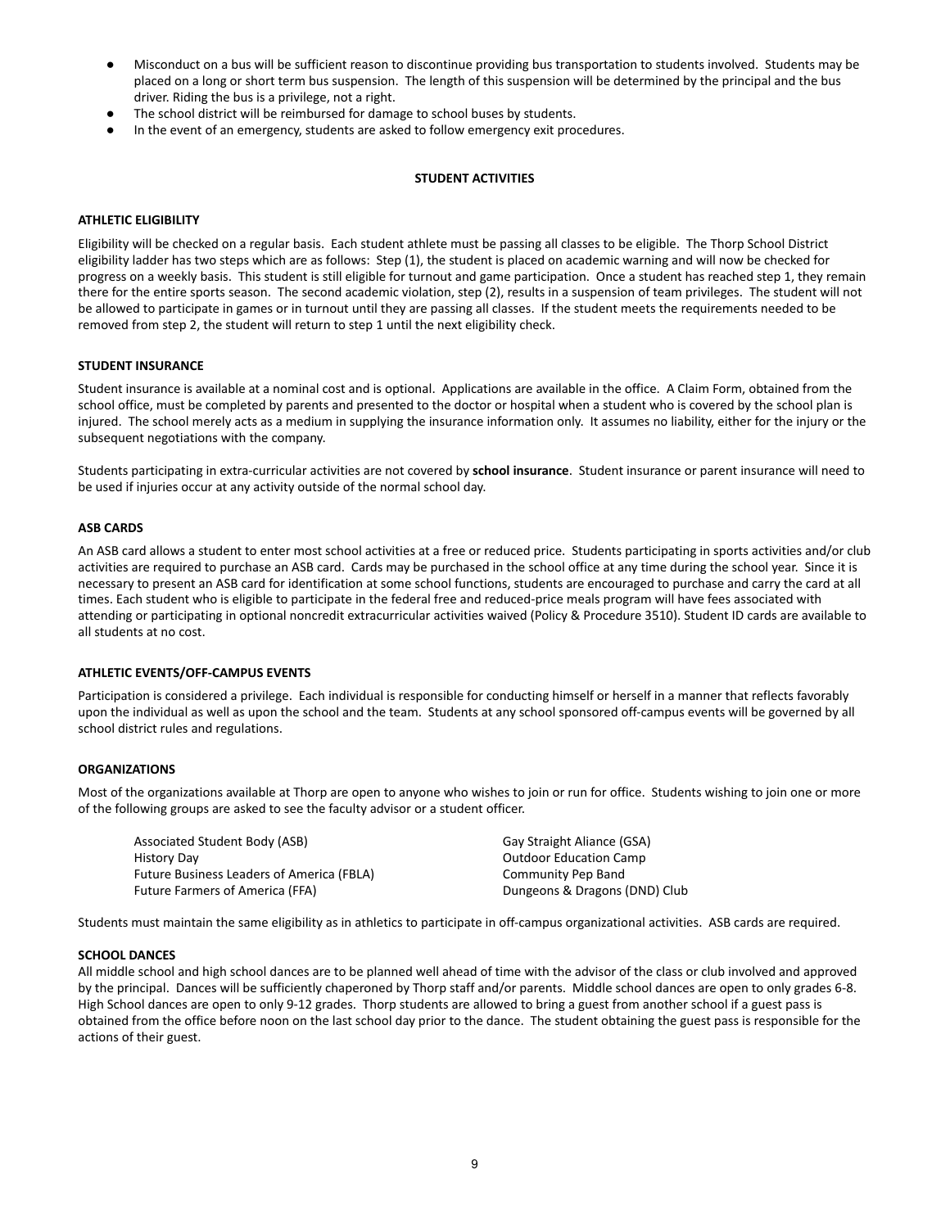- Misconduct on a bus will be sufficient reason to discontinue providing bus transportation to students involved. Students may be placed on a long or short term bus suspension. The length of this suspension will be determined by the principal and the bus driver. Riding the bus is a privilege, not a right.
- The school district will be reimbursed for damage to school buses by students.
- In the event of an emergency, students are asked to follow emergency exit procedures.

## **STUDENT ACTIVITIES**

## <span id="page-8-1"></span><span id="page-8-0"></span>**ATHLETIC ELIGIBILITY**

Eligibility will be checked on a regular basis. Each student athlete must be passing all classes to be eligible. The Thorp School District eligibility ladder has two steps which are as follows: Step (1), the student is placed on academic warning and will now be checked for progress on a weekly basis. This student is still eligible for turnout and game participation. Once a student has reached step 1, they remain there for the entire sports season. The second academic violation, step (2), results in a suspension of team privileges. The student will not be allowed to participate in games or in turnout until they are passing all classes. If the student meets the requirements needed to be removed from step 2, the student will return to step 1 until the next eligibility check.

## <span id="page-8-2"></span>**STUDENT INSURANCE**

Student insurance is available at a nominal cost and is optional. Applications are available in the office. A Claim Form, obtained from the school office, must be completed by parents and presented to the doctor or hospital when a student who is covered by the school plan is injured. The school merely acts as a medium in supplying the insurance information only. It assumes no liability, either for the injury or the subsequent negotiations with the company.

Students participating in extra-curricular activities are not covered by **school insurance**. Student insurance or parent insurance will need to be used if injuries occur at any activity outside of the normal school day.

#### <span id="page-8-3"></span>**ASB CARDS**

An ASB card allows a student to enter most school activities at a free or reduced price. Students participating in sports activities and/or club activities are required to purchase an ASB card. Cards may be purchased in the school office at any time during the school year. Since it is necessary to present an ASB card for identification at some school functions, students are encouraged to purchase and carry the card at all times. Each student who is eligible to participate in the federal free and reduced-price meals program will have fees associated with attending or participating in optional noncredit extracurricular activities waived (Policy & Procedure 3510). Student ID cards are available to all students at no cost.

## <span id="page-8-4"></span>**ATHLETIC EVENTS/OFF-CAMPUS EVENTS**

Participation is considered a privilege. Each individual is responsible for conducting himself or herself in a manner that reflects favorably upon the individual as well as upon the school and the team. Students at any school sponsored off-campus events will be governed by all school district rules and regulations.

## <span id="page-8-5"></span>**ORGANIZATIONS**

Most of the organizations available at Thorp are open to anyone who wishes to join or run for office. Students wishing to join one or more of the following groups are asked to see the faculty advisor or a student officer.

Associated Student Body (ASB) History Day Future Business Leaders of America (FBLA) Future Farmers of America (FFA)

Gay Straight Aliance (GSA) Outdoor Education Camp Community Pep Band Dungeons & Dragons (DND) Club

Students must maintain the same eligibility as in athletics to participate in off-campus organizational activities. ASB cards are required.

#### **SCHOOL DANCES**

All middle school and high school dances are to be planned well ahead of time with the advisor of the class or club involved and approved by the principal. Dances will be sufficiently chaperoned by Thorp staff and/or parents. Middle school dances are open to only grades 6-8. High School dances are open to only 9-12 grades. Thorp students are allowed to bring a guest from another school if a guest pass is obtained from the office before noon on the last school day prior to the dance. The student obtaining the guest pass is responsible for the actions of their guest.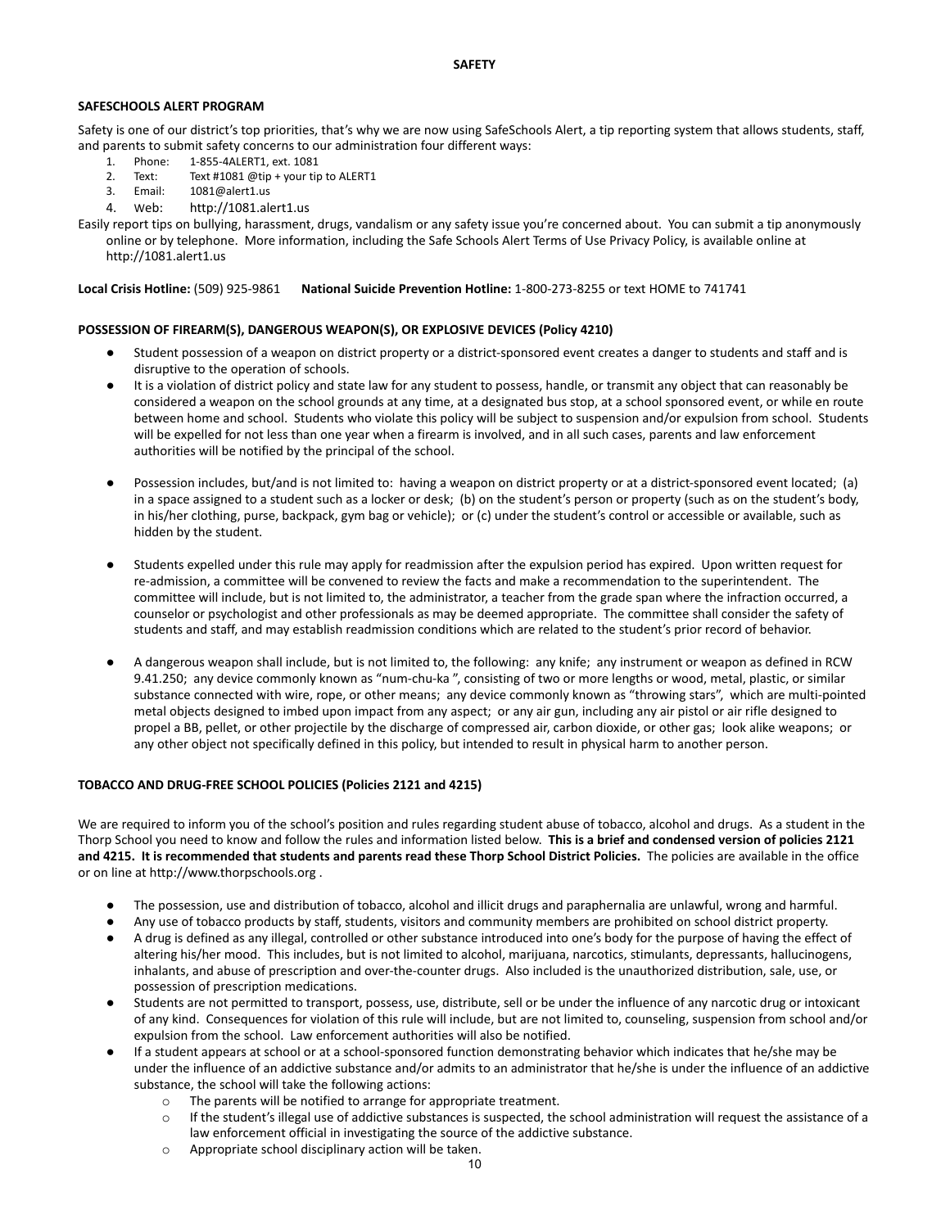## <span id="page-9-1"></span><span id="page-9-0"></span>**SAFESCHOOLS ALERT PROGRAM**

Safety is one of our district's top priorities, that's why we are now using SafeSchools Alert, a tip reporting system that allows students, staff, and parents to submit safety concerns to our administration four different ways:

- 1. Phone: 1-855-4ALERT1, ext. 1081
- 2. Text: Text #1081 @tip + your tip to ALERT1
- 3. Email: 1081@alert1.us
- 4. Web: http://1081.alert1.us

Easily report tips on bullying, harassment, drugs, vandalism or any safety issue you're concerned about. You can submit a tip anonymously online or by telephone. More information, including the Safe Schools Alert Terms of Use Privacy Policy, is available online at http://1081.alert1.us

<span id="page-9-2"></span>**Local Crisis Hotline:** (509) 925-9861 **National Suicide Prevention Hotline:** 1-800-273-8255 or text HOME to 741741

## **POSSESSION OF FIREARM(S), DANGEROUS WEAPON(S), OR EXPLOSIVE DEVICES (Policy 4210)**

- Student possession of a weapon on district property or a district-sponsored event creates a danger to students and staff and is disruptive to the operation of schools.
- It is a violation of district policy and state law for any student to possess, handle, or transmit any object that can reasonably be considered a weapon on the school grounds at any time, at a designated bus stop, at a school sponsored event, or while en route between home and school. Students who violate this policy will be subject to suspension and/or expulsion from school. Students will be expelled for not less than one year when a firearm is involved, and in all such cases, parents and law enforcement authorities will be notified by the principal of the school.
- Possession includes, but/and is not limited to: having a weapon on district property or at a district-sponsored event located; (a) in a space assigned to a student such as a locker or desk; (b) on the student's person or property (such as on the student's body, in his/her clothing, purse, backpack, gym bag or vehicle); or (c) under the student's control or accessible or available, such as hidden by the student.
- Students expelled under this rule may apply for readmission after the expulsion period has expired. Upon written request for re-admission, a committee will be convened to review the facts and make a recommendation to the superintendent. The committee will include, but is not limited to, the administrator, a teacher from the grade span where the infraction occurred, a counselor or psychologist and other professionals as may be deemed appropriate. The committee shall consider the safety of students and staff, and may establish readmission conditions which are related to the student's prior record of behavior.
- A dangerous weapon shall include, but is not limited to, the following: any knife; any instrument or weapon as defined in RCW 9.41.250; any device commonly known as "num-chu-ka ", consisting of two or more lengths or wood, metal, plastic, or similar substance connected with wire, rope, or other means; any device commonly known as "throwing stars", which are multi-pointed metal objects designed to imbed upon impact from any aspect; or any air gun, including any air pistol or air rifle designed to propel a BB, pellet, or other projectile by the discharge of compressed air, carbon dioxide, or other gas; look alike weapons; or any other object not specifically defined in this policy, but intended to result in physical harm to another person.

# <span id="page-9-3"></span>**TOBACCO AND DRUG-FREE SCHOOL POLICIES (Policies 2121 and 4215)**

We are required to inform you of the school's position and rules regarding student abuse of tobacco, alcohol and drugs. As a student in the Thorp School you need to know and follow the rules and information listed below. **This is a brief and condensed version of policies 2121 and 4215. It is recommended that students and parents read these Thorp School District Policies.** The policies are available in the office or on line at http://www.thorpschools.org .

- The possession, use and distribution of tobacco, alcohol and illicit drugs and paraphernalia are unlawful, wrong and harmful.
- Any use of tobacco products by staff, students, visitors and community members are prohibited on school district property.
- A drug is defined as any illegal, controlled or other substance introduced into one's body for the purpose of having the effect of altering his/her mood. This includes, but is not limited to alcohol, marijuana, narcotics, stimulants, depressants, hallucinogens, inhalants, and abuse of prescription and over-the-counter drugs. Also included is the unauthorized distribution, sale, use, or possession of prescription medications.
- Students are not permitted to transport, possess, use, distribute, sell or be under the influence of any narcotic drug or intoxicant of any kind. Consequences for violation of this rule will include, but are not limited to, counseling, suspension from school and/or expulsion from the school. Law enforcement authorities will also be notified.
- If a student appears at school or at a school-sponsored function demonstrating behavior which indicates that he/she may be under the influence of an addictive substance and/or admits to an administrator that he/she is under the influence of an addictive substance, the school will take the following actions:
	- o The parents will be notified to arrange for appropriate treatment.
	- $\circ$  If the student's illegal use of addictive substances is suspected, the school administration will request the assistance of a law enforcement official in investigating the source of the addictive substance.
	- o Appropriate school disciplinary action will be taken.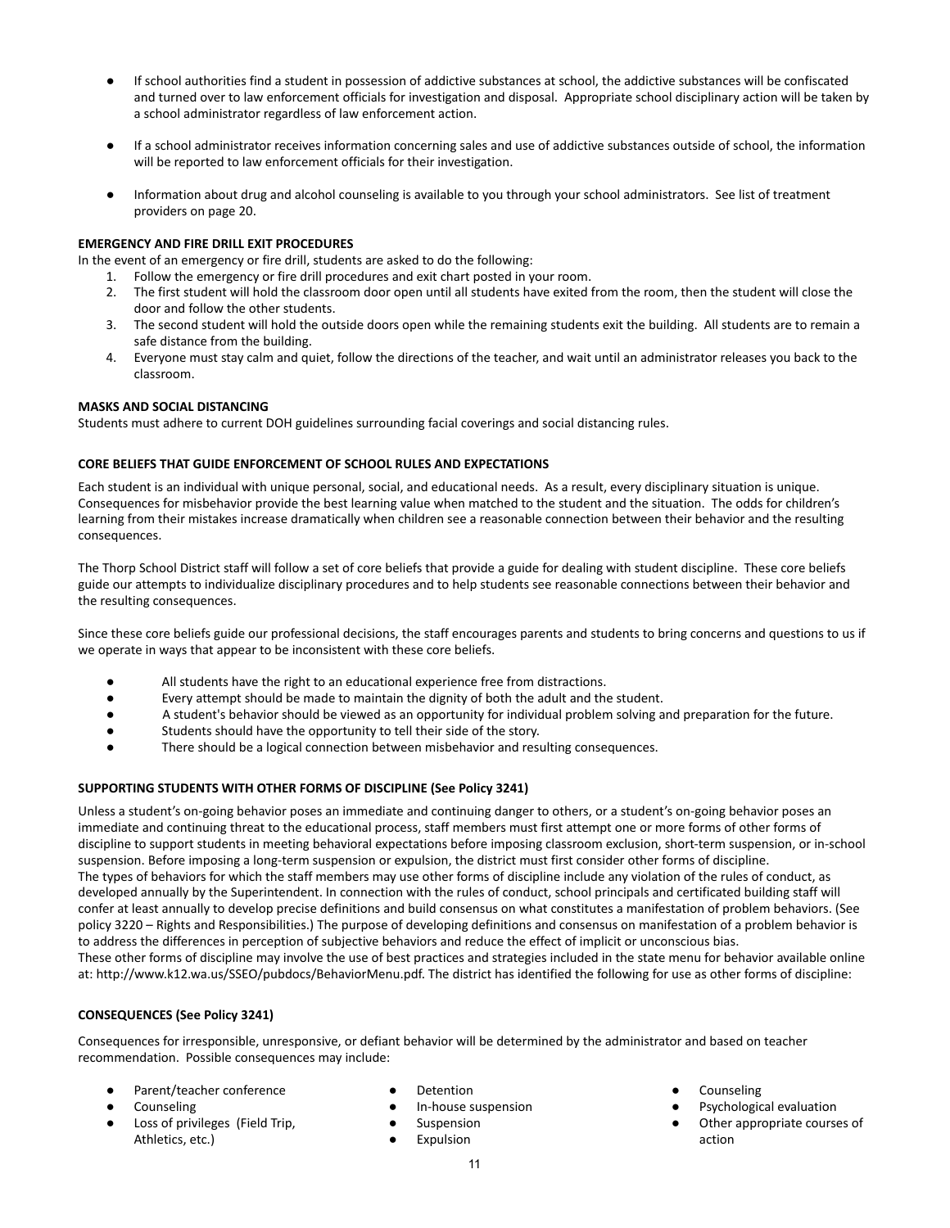- If school authorities find a student in possession of addictive substances at school, the addictive substances will be confiscated and turned over to law enforcement officials for investigation and disposal. Appropriate school disciplinary action will be taken by a school administrator regardless of law enforcement action.
- If a school administrator receives information concerning sales and use of addictive substances outside of school, the information will be reported to law enforcement officials for their investigation.
- Information about drug and alcohol counseling is available to you through your school administrators. See list of treatment providers on page 20.

## **EMERGENCY AND FIRE DRILL EXIT PROCEDURES**

In the event of an emergency or fire drill, students are asked to do the following:

- 1. Follow the emergency or fire drill procedures and exit chart posted in your room.
- 2. The first student will hold the classroom door open until all students have exited from the room, then the student will close the door and follow the other students.
- 3. The second student will hold the outside doors open while the remaining students exit the building. All students are to remain a safe distance from the building.
- 4. Everyone must stay calm and quiet, follow the directions of the teacher, and wait until an administrator releases you back to the classroom.

# **MASKS AND SOCIAL DISTANCING**

<span id="page-10-0"></span>Students must adhere to current DOH guidelines surrounding facial coverings and social distancing rules.

## **CORE BELIEFS THAT GUIDE ENFORCEMENT OF SCHOOL RULES AND EXPECTATIONS**

Each student is an individual with unique personal, social, and educational needs. As a result, every disciplinary situation is unique. Consequences for misbehavior provide the best learning value when matched to the student and the situation. The odds for children's learning from their mistakes increase dramatically when children see a reasonable connection between their behavior and the resulting consequences.

The Thorp School District staff will follow a set of core beliefs that provide a guide for dealing with student discipline. These core beliefs guide our attempts to individualize disciplinary procedures and to help students see reasonable connections between their behavior and the resulting consequences.

Since these core beliefs guide our professional decisions, the staff encourages parents and students to bring concerns and questions to us if we operate in ways that appear to be inconsistent with these core beliefs.

- All students have the right to an educational experience free from distractions.
- Every attempt should be made to maintain the dignity of both the adult and the student.
- A student's behavior should be viewed as an opportunity for individual problem solving and preparation for the future.
- Students should have the opportunity to tell their side of the story.
- There should be a logical connection between misbehavior and resulting consequences.

# <span id="page-10-1"></span>**SUPPORTING STUDENTS WITH OTHER FORMS OF DISCIPLINE (See Policy 3241)**

Unless a student's on-going behavior poses an immediate and continuing danger to others, or a student's on-going behavior poses an immediate and continuing threat to the educational process, staff members must first attempt one or more forms of other forms of discipline to support students in meeting behavioral expectations before imposing classroom exclusion, short-term suspension, or in-school suspension. Before imposing a long-term suspension or expulsion, the district must first consider other forms of discipline. The types of behaviors for which the staff members may use other forms of discipline include any violation of the rules of conduct, as developed annually by the Superintendent. In connection with the rules of conduct, school principals and certificated building staff will confer at least annually to develop precise definitions and build consensus on what constitutes a manifestation of problem behaviors. (See policy 3220 – Rights and Responsibilities.) The purpose of developing definitions and consensus on manifestation of a problem behavior is to address the differences in perception of subjective behaviors and reduce the effect of implicit or unconscious bias. These other forms of discipline may involve the use of best practices and strategies included in the state menu for behavior available online at: http://www.k12.wa.us/SSEO/pubdocs/BehaviorMenu.pdf. The district has identified the following for use as other forms of discipline:

# <span id="page-10-2"></span>**CONSEQUENCES (See Policy 3241)**

Consequences for irresponsible, unresponsive, or defiant behavior will be determined by the administrator and based on teacher recommendation. Possible consequences may include:

- Parent/teacher conference
- Counseling
- Loss of privileges (Field Trip, Athletics, etc.)
- **Detention**
- In-house suspension
- Suspension
- Expulsion
- **Counseling**
- Psychological evaluation
- Other appropriate courses of action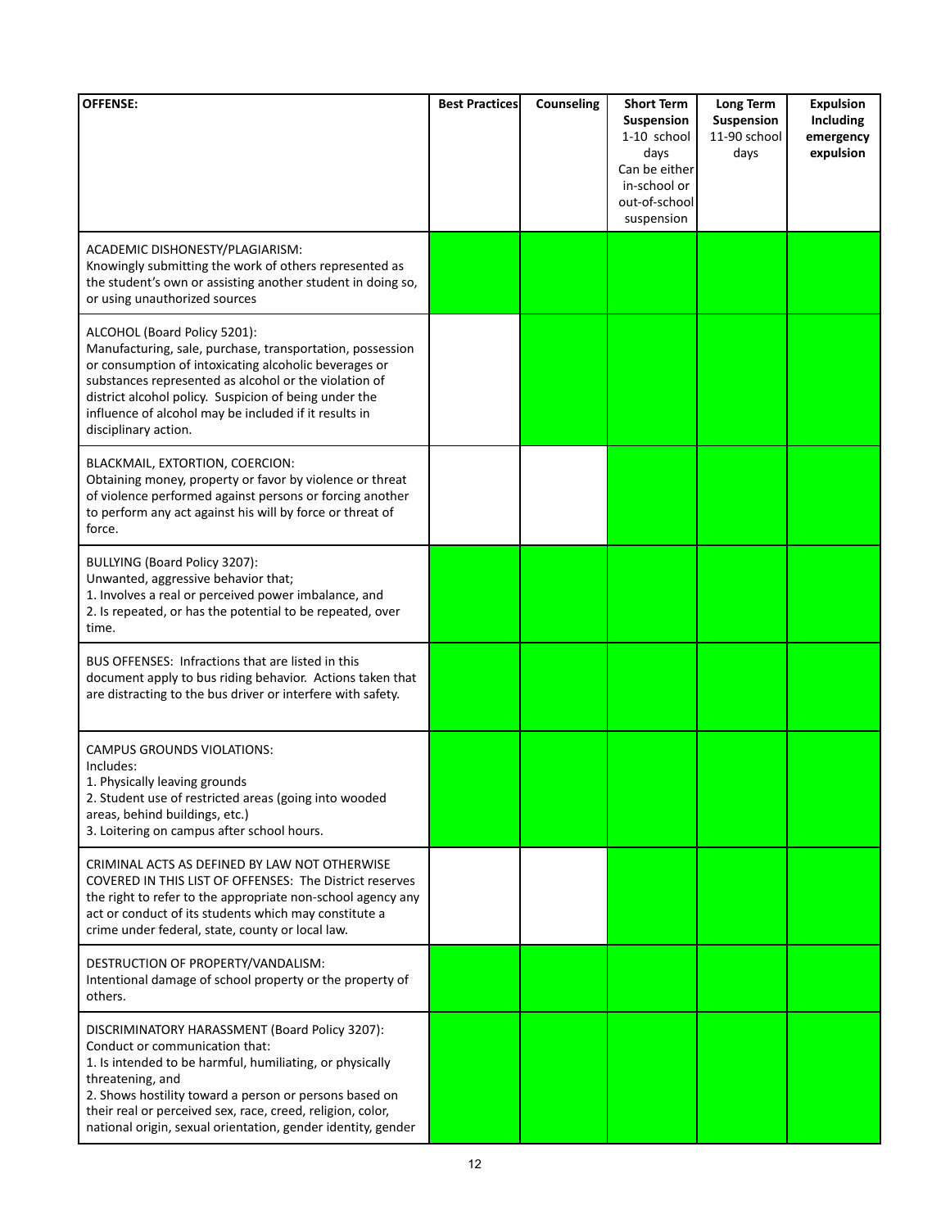| <b>OFFENSE:</b>                                                                                                                                                                                                                                                                                                                                          | <b>Best Practices</b> | Counseling | <b>Short Term</b><br><b>Suspension</b>                                              | Long Term<br>Suspension | <b>Expulsion</b><br>Including |
|----------------------------------------------------------------------------------------------------------------------------------------------------------------------------------------------------------------------------------------------------------------------------------------------------------------------------------------------------------|-----------------------|------------|-------------------------------------------------------------------------------------|-------------------------|-------------------------------|
|                                                                                                                                                                                                                                                                                                                                                          |                       |            | 1-10 school<br>days<br>Can be either<br>in-school or<br>out-of-school<br>suspension | 11-90 school<br>days    | emergency<br>expulsion        |
| ACADEMIC DISHONESTY/PLAGIARISM:<br>Knowingly submitting the work of others represented as<br>the student's own or assisting another student in doing so,<br>or using unauthorized sources                                                                                                                                                                |                       |            |                                                                                     |                         |                               |
| ALCOHOL (Board Policy 5201):<br>Manufacturing, sale, purchase, transportation, possession<br>or consumption of intoxicating alcoholic beverages or<br>substances represented as alcohol or the violation of<br>district alcohol policy. Suspicion of being under the<br>influence of alcohol may be included if it results in<br>disciplinary action.    |                       |            |                                                                                     |                         |                               |
| BLACKMAIL, EXTORTION, COERCION:<br>Obtaining money, property or favor by violence or threat<br>of violence performed against persons or forcing another<br>to perform any act against his will by force or threat of<br>force.                                                                                                                           |                       |            |                                                                                     |                         |                               |
| BULLYING (Board Policy 3207):<br>Unwanted, aggressive behavior that;<br>1. Involves a real or perceived power imbalance, and<br>2. Is repeated, or has the potential to be repeated, over<br>time.                                                                                                                                                       |                       |            |                                                                                     |                         |                               |
| BUS OFFENSES: Infractions that are listed in this<br>document apply to bus riding behavior. Actions taken that<br>are distracting to the bus driver or interfere with safety.                                                                                                                                                                            |                       |            |                                                                                     |                         |                               |
| CAMPUS GROUNDS VIOLATIONS:<br>Includes:<br>1. Physically leaving grounds<br>2. Student use of restricted areas (going into wooded<br>areas, behind buildings, etc.)<br>3. Loitering on campus after school hours.                                                                                                                                        |                       |            |                                                                                     |                         |                               |
| CRIMINAL ACTS AS DEFINED BY LAW NOT OTHERWISE<br>COVERED IN THIS LIST OF OFFENSES: The District reserves<br>the right to refer to the appropriate non-school agency any<br>act or conduct of its students which may constitute a<br>crime under federal, state, county or local law.                                                                     |                       |            |                                                                                     |                         |                               |
| DESTRUCTION OF PROPERTY/VANDALISM:<br>Intentional damage of school property or the property of<br>others.                                                                                                                                                                                                                                                |                       |            |                                                                                     |                         |                               |
| DISCRIMINATORY HARASSMENT (Board Policy 3207):<br>Conduct or communication that:<br>1. Is intended to be harmful, humiliating, or physically<br>threatening, and<br>2. Shows hostility toward a person or persons based on<br>their real or perceived sex, race, creed, religion, color,<br>national origin, sexual orientation, gender identity, gender |                       |            |                                                                                     |                         |                               |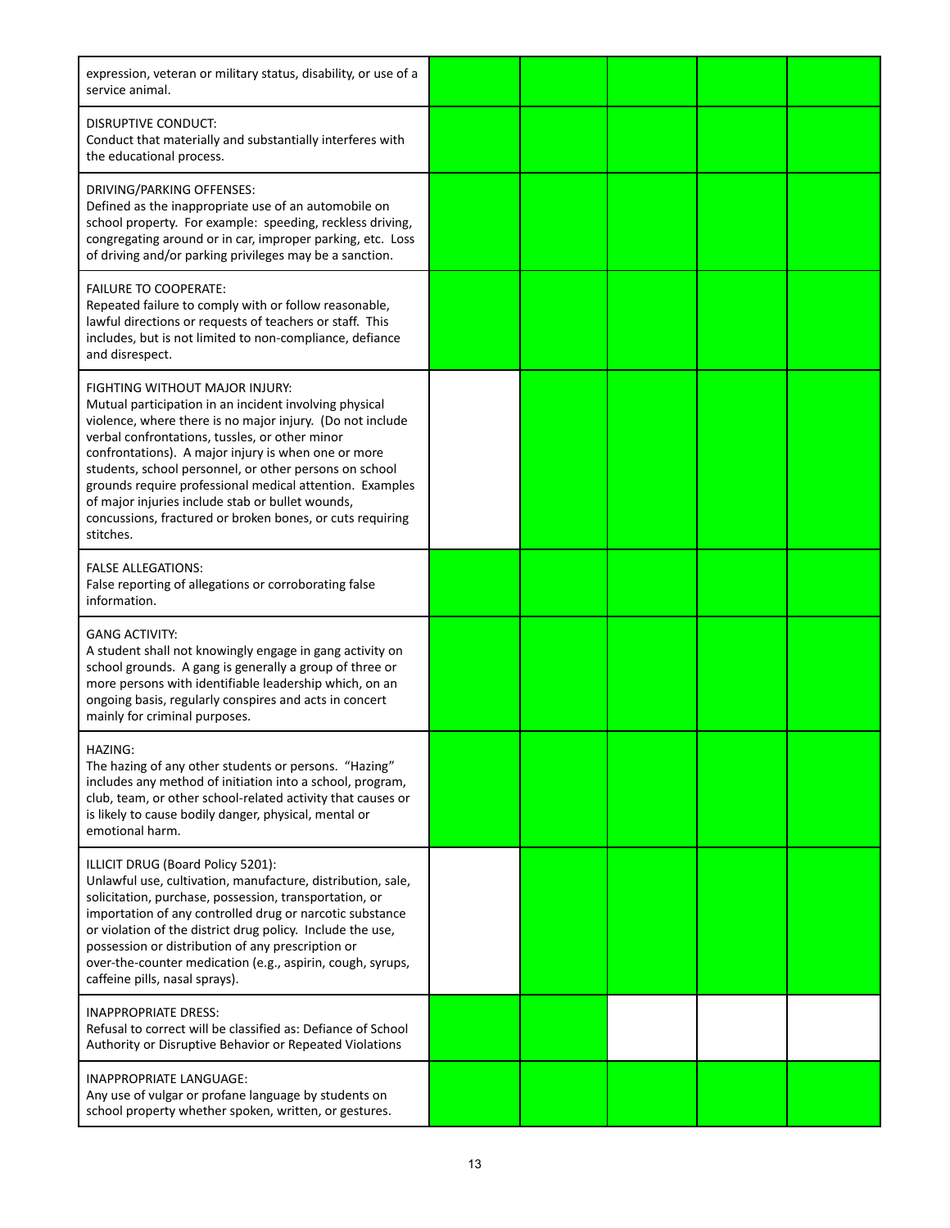| expression, veteran or military status, disability, or use of a<br>service animal.                                                                                                                                                                                                                                                                                                                                                                                                                                 |  |  |  |
|--------------------------------------------------------------------------------------------------------------------------------------------------------------------------------------------------------------------------------------------------------------------------------------------------------------------------------------------------------------------------------------------------------------------------------------------------------------------------------------------------------------------|--|--|--|
| DISRUPTIVE CONDUCT:<br>Conduct that materially and substantially interferes with<br>the educational process.                                                                                                                                                                                                                                                                                                                                                                                                       |  |  |  |
| DRIVING/PARKING OFFENSES:<br>Defined as the inappropriate use of an automobile on<br>school property. For example: speeding, reckless driving,<br>congregating around or in car, improper parking, etc. Loss<br>of driving and/or parking privileges may be a sanction.                                                                                                                                                                                                                                            |  |  |  |
| <b>FAILURE TO COOPERATE:</b><br>Repeated failure to comply with or follow reasonable,<br>lawful directions or requests of teachers or staff. This<br>includes, but is not limited to non-compliance, defiance<br>and disrespect.                                                                                                                                                                                                                                                                                   |  |  |  |
| FIGHTING WITHOUT MAJOR INJURY:<br>Mutual participation in an incident involving physical<br>violence, where there is no major injury. (Do not include<br>verbal confrontations, tussles, or other minor<br>confrontations). A major injury is when one or more<br>students, school personnel, or other persons on school<br>grounds require professional medical attention. Examples<br>of major injuries include stab or bullet wounds,<br>concussions, fractured or broken bones, or cuts requiring<br>stitches. |  |  |  |
| <b>FALSE ALLEGATIONS:</b><br>False reporting of allegations or corroborating false<br>information.                                                                                                                                                                                                                                                                                                                                                                                                                 |  |  |  |
| <b>GANG ACTIVITY:</b><br>A student shall not knowingly engage in gang activity on<br>school grounds. A gang is generally a group of three or<br>more persons with identifiable leadership which, on an<br>ongoing basis, regularly conspires and acts in concert<br>mainly for criminal purposes.                                                                                                                                                                                                                  |  |  |  |
| HAZING:<br>The hazing of any other students or persons. "Hazing"<br>includes any method of initiation into a school, program,<br>club, team, or other school-related activity that causes or<br>is likely to cause bodily danger, physical, mental or<br>emotional harm.                                                                                                                                                                                                                                           |  |  |  |
| ILLICIT DRUG (Board Policy 5201):<br>Unlawful use, cultivation, manufacture, distribution, sale,<br>solicitation, purchase, possession, transportation, or<br>importation of any controlled drug or narcotic substance<br>or violation of the district drug policy. Include the use,<br>possession or distribution of any prescription or<br>over-the-counter medication (e.g., aspirin, cough, syrups,<br>caffeine pills, nasal sprays).                                                                          |  |  |  |
| <b>INAPPROPRIATE DRESS:</b><br>Refusal to correct will be classified as: Defiance of School<br>Authority or Disruptive Behavior or Repeated Violations                                                                                                                                                                                                                                                                                                                                                             |  |  |  |
| INAPPROPRIATE LANGUAGE:<br>Any use of vulgar or profane language by students on<br>school property whether spoken, written, or gestures.                                                                                                                                                                                                                                                                                                                                                                           |  |  |  |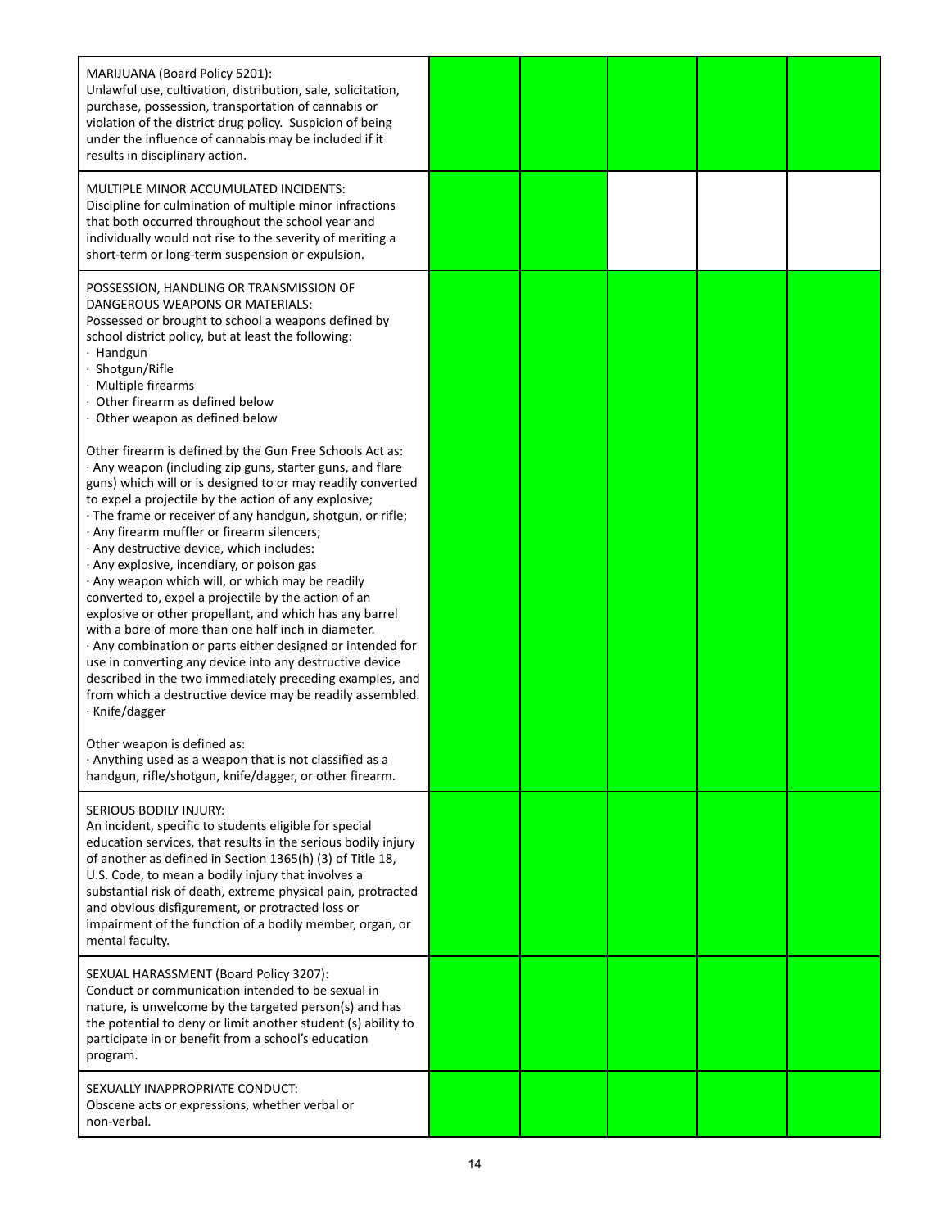| MARIJUANA (Board Policy 5201):<br>Unlawful use, cultivation, distribution, sale, solicitation,<br>purchase, possession, transportation of cannabis or<br>violation of the district drug policy. Suspicion of being<br>under the influence of cannabis may be included if it<br>results in disciplinary action.                                                                                                                                                                                                                                                                                                                                                                                                                                                                                                                                                                                                                                           |  |  |  |
|----------------------------------------------------------------------------------------------------------------------------------------------------------------------------------------------------------------------------------------------------------------------------------------------------------------------------------------------------------------------------------------------------------------------------------------------------------------------------------------------------------------------------------------------------------------------------------------------------------------------------------------------------------------------------------------------------------------------------------------------------------------------------------------------------------------------------------------------------------------------------------------------------------------------------------------------------------|--|--|--|
| MULTIPLE MINOR ACCUMULATED INCIDENTS:<br>Discipline for culmination of multiple minor infractions<br>that both occurred throughout the school year and<br>individually would not rise to the severity of meriting a<br>short-term or long-term suspension or expulsion.                                                                                                                                                                                                                                                                                                                                                                                                                                                                                                                                                                                                                                                                                  |  |  |  |
| POSSESSION, HANDLING OR TRANSMISSION OF<br>DANGEROUS WEAPONS OR MATERIALS:<br>Possessed or brought to school a weapons defined by<br>school district policy, but at least the following:<br>· Handgun<br>Shotgun/Rifle<br>· Multiple firearms<br>Other firearm as defined below<br>Other weapon as defined below                                                                                                                                                                                                                                                                                                                                                                                                                                                                                                                                                                                                                                         |  |  |  |
| Other firearm is defined by the Gun Free Schools Act as:<br>· Any weapon (including zip guns, starter guns, and flare<br>guns) which will or is designed to or may readily converted<br>to expel a projectile by the action of any explosive;<br>· The frame or receiver of any handgun, shotgun, or rifle;<br>· Any firearm muffler or firearm silencers;<br>· Any destructive device, which includes:<br>· Any explosive, incendiary, or poison gas<br>· Any weapon which will, or which may be readily<br>converted to, expel a projectile by the action of an<br>explosive or other propellant, and which has any barrel<br>with a bore of more than one half inch in diameter.<br>· Any combination or parts either designed or intended for<br>use in converting any device into any destructive device<br>described in the two immediately preceding examples, and<br>from which a destructive device may be readily assembled.<br>· Knife/dagger |  |  |  |
| Other weapon is defined as:<br>. Anything used as a weapon that is not classified as a<br>handgun, rifle/shotgun, knife/dagger, or other firearm.                                                                                                                                                                                                                                                                                                                                                                                                                                                                                                                                                                                                                                                                                                                                                                                                        |  |  |  |
| SERIOUS BODILY INJURY:<br>An incident, specific to students eligible for special<br>education services, that results in the serious bodily injury<br>of another as defined in Section 1365(h) (3) of Title 18,<br>U.S. Code, to mean a bodily injury that involves a<br>substantial risk of death, extreme physical pain, protracted<br>and obvious disfigurement, or protracted loss or<br>impairment of the function of a bodily member, organ, or<br>mental faculty.                                                                                                                                                                                                                                                                                                                                                                                                                                                                                  |  |  |  |
| SEXUAL HARASSMENT (Board Policy 3207):<br>Conduct or communication intended to be sexual in<br>nature, is unwelcome by the targeted person(s) and has<br>the potential to deny or limit another student (s) ability to<br>participate in or benefit from a school's education<br>program.                                                                                                                                                                                                                                                                                                                                                                                                                                                                                                                                                                                                                                                                |  |  |  |
| SEXUALLY INAPPROPRIATE CONDUCT:<br>Obscene acts or expressions, whether verbal or<br>non-verbal.                                                                                                                                                                                                                                                                                                                                                                                                                                                                                                                                                                                                                                                                                                                                                                                                                                                         |  |  |  |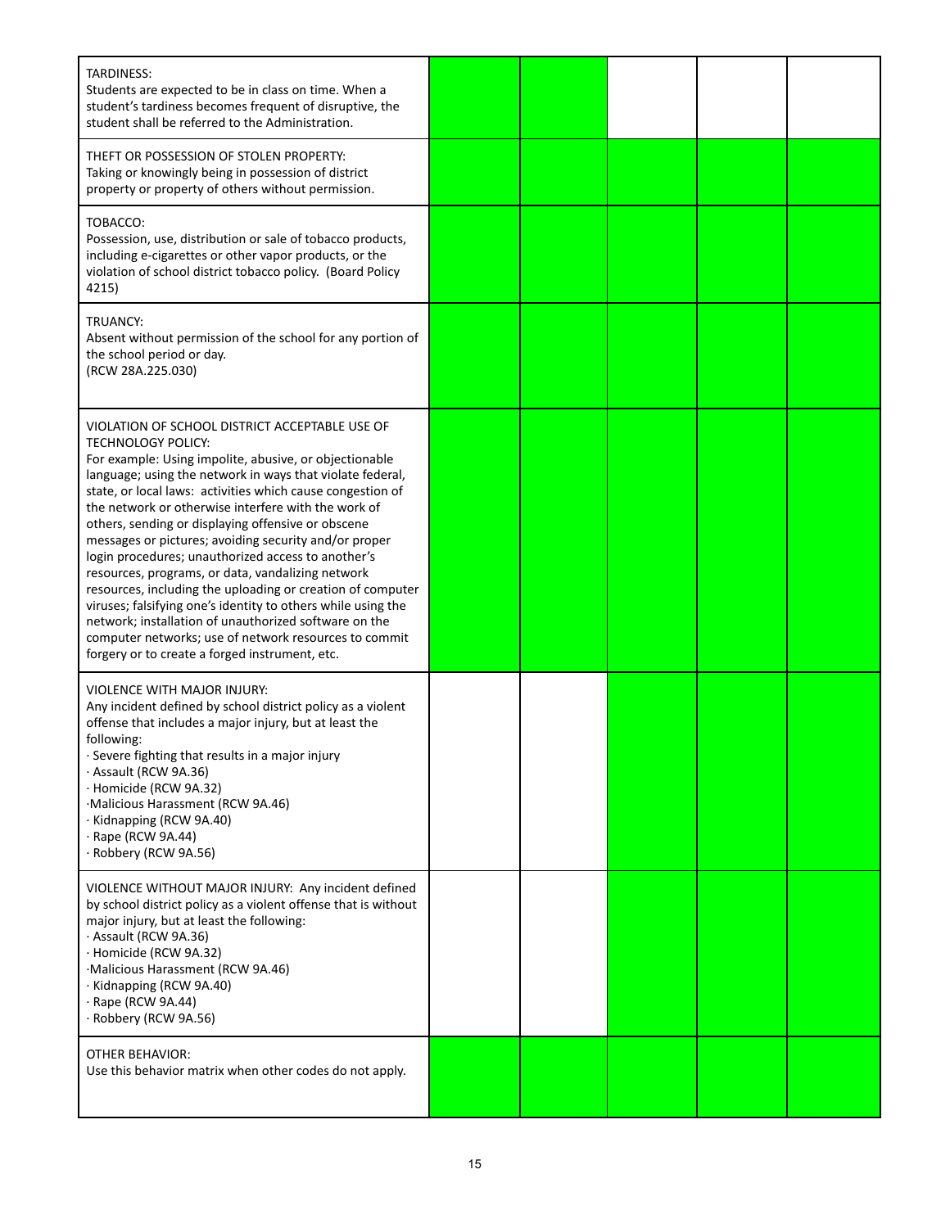| <b>TARDINESS:</b><br>Students are expected to be in class on time. When a<br>student's tardiness becomes frequent of disruptive, the<br>student shall be referred to the Administration.                                                                                                                                                                                                                                                                                                                                                                                                                                                                                                                                                                                                                                                            |  |  |  |
|-----------------------------------------------------------------------------------------------------------------------------------------------------------------------------------------------------------------------------------------------------------------------------------------------------------------------------------------------------------------------------------------------------------------------------------------------------------------------------------------------------------------------------------------------------------------------------------------------------------------------------------------------------------------------------------------------------------------------------------------------------------------------------------------------------------------------------------------------------|--|--|--|
| THEFT OR POSSESSION OF STOLEN PROPERTY:<br>Taking or knowingly being in possession of district<br>property or property of others without permission.                                                                                                                                                                                                                                                                                                                                                                                                                                                                                                                                                                                                                                                                                                |  |  |  |
| TOBACCO:<br>Possession, use, distribution or sale of tobacco products,<br>including e-cigarettes or other vapor products, or the<br>violation of school district tobacco policy. (Board Policy<br>4215)                                                                                                                                                                                                                                                                                                                                                                                                                                                                                                                                                                                                                                             |  |  |  |
| TRUANCY:<br>Absent without permission of the school for any portion of<br>the school period or day.<br>(RCW 28A.225.030)                                                                                                                                                                                                                                                                                                                                                                                                                                                                                                                                                                                                                                                                                                                            |  |  |  |
| VIOLATION OF SCHOOL DISTRICT ACCEPTABLE USE OF<br><b>TECHNOLOGY POLICY:</b><br>For example: Using impolite, abusive, or objectionable<br>language; using the network in ways that violate federal,<br>state, or local laws: activities which cause congestion of<br>the network or otherwise interfere with the work of<br>others, sending or displaying offensive or obscene<br>messages or pictures; avoiding security and/or proper<br>login procedures; unauthorized access to another's<br>resources, programs, or data, vandalizing network<br>resources, including the uploading or creation of computer<br>viruses; falsifying one's identity to others while using the<br>network; installation of unauthorized software on the<br>computer networks; use of network resources to commit<br>forgery or to create a forged instrument, etc. |  |  |  |
| <b>VIOLENCE WITH MAJOR INJURY:</b><br>Any incident defined by school district policy as a violent<br>offense that includes a major injury, but at least the<br>following:<br>· Severe fighting that results in a major injury<br>· Assault (RCW 9A.36)<br>· Homicide (RCW 9A.32)<br>·Malicious Harassment (RCW 9A.46)<br>· Kidnapping (RCW 9A.40)<br>$\cdot$ Rape (RCW 9A.44)<br>· Robbery (RCW 9A.56)                                                                                                                                                                                                                                                                                                                                                                                                                                              |  |  |  |
| VIOLENCE WITHOUT MAJOR INJURY: Any incident defined<br>by school district policy as a violent offense that is without<br>major injury, but at least the following:<br>· Assault (RCW 9A.36)<br>· Homicide (RCW 9A.32)<br>·Malicious Harassment (RCW 9A.46)<br>· Kidnapping (RCW 9A.40)<br>· Rape (RCW 9A.44)<br>· Robbery (RCW 9A.56)                                                                                                                                                                                                                                                                                                                                                                                                                                                                                                               |  |  |  |
| <b>OTHER BEHAVIOR:</b><br>Use this behavior matrix when other codes do not apply.                                                                                                                                                                                                                                                                                                                                                                                                                                                                                                                                                                                                                                                                                                                                                                   |  |  |  |